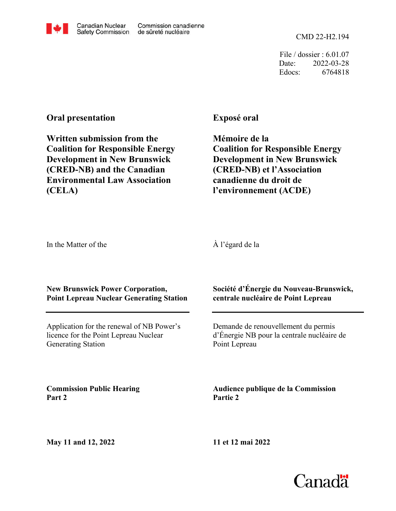

CMD 22-H2.194

File / dossier : 6.01.07 Date: 2022-03-28 Edocs: 6764818

# **Oral presentation**

**Written submission from the Coalition for Responsible Energy Development in New Brunswick (CRED-NB) and the Canadian Environmental Law Association (CELA)**

# **Exposé oral**

**Mémoire de la Coalition for Responsible Energy Development in New Brunswick (CRED-NB) et l'Association canadienne du droit de l'environnement (ACDE)**

In the Matter of the

À l'égard de la

### **New Brunswick Power Corporation, Point Lepreau Nuclear Generating Station**

Application for the renewal of NB Power's licence for the Point Lepreau Nuclear Generating Station

**Commission Public Hearing Part 2**

**Société d'Énergie du Nouveau-Brunswick, centrale nucléaire de Point Lepreau**

Demande de renouvellement du permis d'Énergie NB pour la centrale nucléaire de Point Lepreau

**Audience publique de la Commission Partie 2**

**11 et 12 mai 2022**

Canadä

**May 11 and 12, 2022**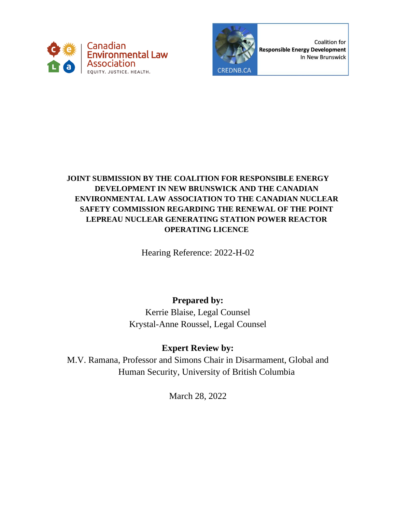



Coalition for **Responsible Energy Development** In New Brunswick

# **JOINT SUBMISSION BY THE COALITION FOR RESPONSIBLE ENERGY DEVELOPMENT IN NEW BRUNSWICK AND THE CANADIAN ENVIRONMENTAL LAW ASSOCIATION TO THE CANADIAN NUCLEAR SAFETY COMMISSION REGARDING THE RENEWAL OF THE POINT LEPREAU NUCLEAR GENERATING STATION POWER REACTOR OPERATING LICENCE**

Hearing Reference: 2022-H-02

# **Prepared by:**

Kerrie Blaise, Legal Counsel Krystal-Anne Roussel, Legal Counsel

# **Expert Review by:**

M.V. Ramana, Professor and Simons Chair in Disarmament, Global and Human Security, University of British Columbia

March 28, 2022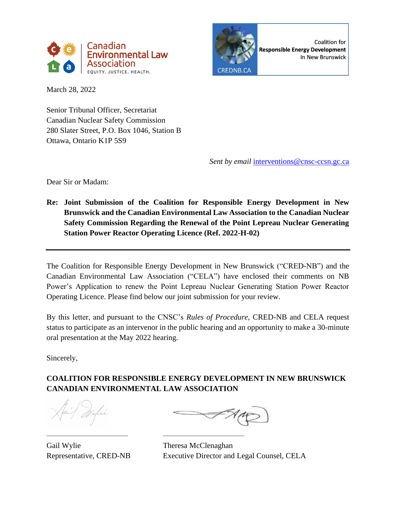



**Coalition for** Responsible Energy Development In New Brunswick

March 28, 2022

Senior Tribunal Officer, Secretariat Canadian Nuclear Safety Commission 280 Slater Street, P.O. Box 1046, Station B Ottawa, Ontario K1P 5S9

*Sent by email* [interventions@cnsc-ccsn.gc.ca](mailto:interventions@cnsc-ccsn.gc.ca)

Dear Sir or Madam:

**Re: Joint Submission of the Coalition for Responsible Energy Development in New Brunswick and the Canadian Environmental Law Association to the Canadian Nuclear Safety Commission Regarding the Renewal of the Point Lepreau Nuclear Generating Station Power Reactor Operating Licence (Ref. 2022-H-02)**

The Coalition for Responsible Energy Development in New Brunswick ("CRED-NB") and the Canadian Environmental Law Association ("CELA") have enclosed their comments on NB Power's Application to renew the Point Lepreau Nuclear Generating Station Power Reactor Operating Licence. Please find below our joint submission for your review.

By this letter, and pursuant to the CNSC's *Rules of Procedure*, CRED-NB and CELA request status to participate as an intervenor in the public hearing and an opportunity to make a 30-minute oral presentation at the May 2022 hearing.

Sincerely,

# **COALITION FOR RESPONSIBLE ENERGY DEVELOPMENT IN NEW BRUNSWICK CANADIAN ENVIRONMENTAL LAW ASSOCIATION**

Gail Wylie Theresa McClenaghan

––––––––––––––––––––– –––––––––––––––––––––

Representative, CRED-NB Executive Director and Legal Counsel, CELA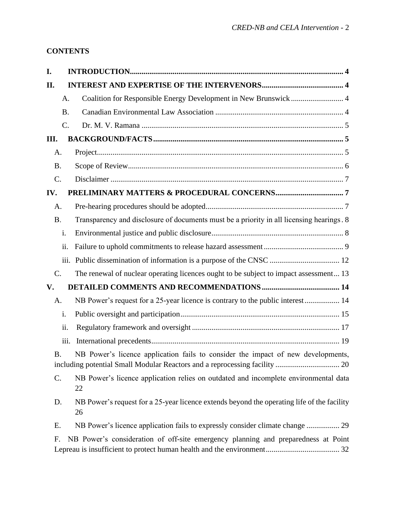# **CONTENTS**

| I.             |                                                                                                  |
|----------------|--------------------------------------------------------------------------------------------------|
| II.            |                                                                                                  |
|                | Coalition for Responsible Energy Development in New Brunswick 4<br>A.                            |
|                | <b>B.</b>                                                                                        |
|                | C.                                                                                               |
| III.           |                                                                                                  |
| A.             |                                                                                                  |
| <b>B.</b>      |                                                                                                  |
| $C$ .          |                                                                                                  |
| IV.            |                                                                                                  |
| A.             |                                                                                                  |
| <b>B.</b>      | Transparency and disclosure of documents must be a priority in all licensing hearings. 8         |
| i.             |                                                                                                  |
|                | ii.                                                                                              |
|                |                                                                                                  |
| C.             | The renewal of nuclear operating licences ought to be subject to impact assessment 13            |
| V.             |                                                                                                  |
| A.             | NB Power's request for a 25-year licence is contrary to the public interest 14                   |
| i.             |                                                                                                  |
|                | ii.                                                                                              |
|                | iii.                                                                                             |
| B.             | NB Power's licence application fails to consider the impact of new developments,                 |
| $\mathsf{C}$ . | NB Power's licence application relies on outdated and incomplete environmental data<br>22        |
| D.             | NB Power's request for a 25-year licence extends beyond the operating life of the facility<br>26 |
| Ε.             | NB Power's licence application fails to expressly consider climate change  29                    |
| F.             | NB Power's consideration of off-site emergency planning and preparedness at Point                |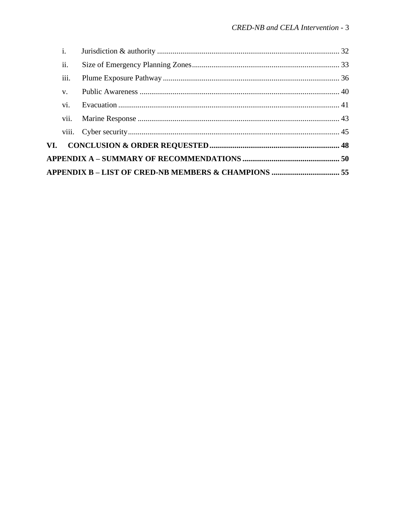|  | vii.        |  |  |  |  |
|--|-------------|--|--|--|--|
|  | vi.         |  |  |  |  |
|  | $V_{\star}$ |  |  |  |  |
|  | iii.        |  |  |  |  |
|  | ii.         |  |  |  |  |
|  | i.          |  |  |  |  |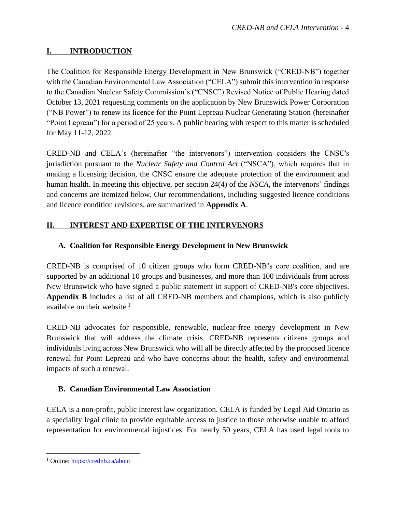# <span id="page-5-0"></span>**I. INTRODUCTION**

The Coalition for Responsible Energy Development in New Brunswick ("CRED-NB") together with the Canadian Environmental Law Association ("CELA") submit this intervention in response to the Canadian Nuclear Safety Commission's ("CNSC") Revised Notice of Public Hearing dated October 13, 2021 requesting comments on the application by New Brunswick Power Corporation ("NB Power") to renew its licence for the Point Lepreau Nuclear Generating Station (hereinafter "Point Lepreau") for a period of 25 years. A public hearing with respect to this matter is scheduled for May 11-12, 2022.

CRED-NB and CELA's (hereinafter "the intervenors") intervention considers the CNSC's jurisdiction pursuant to the *Nuclear Safety and Control Act* ("NSCA"), which requires that in making a licensing decision, the CNSC ensure the adequate protection of the environment and human health. In meeting this objective, per section 24(4) of the *NSCA*, the intervenors' findings and concerns are itemized below. Our recommendations, including suggested licence conditions and licence condition revisions, are summarized in **Appendix A**.

# <span id="page-5-1"></span>**II. INTEREST AND EXPERTISE OF THE INTERVENORS**

### <span id="page-5-2"></span>**A. Coalition for Responsible Energy Development in New Brunswick**

CRED-NB is comprised of 10 citizen groups who form CRED-NB's core coalition, and are supported by an additional 10 groups and businesses, and more than 100 individuals from across New Brunswick who have signed a public statement in support of CRED-NB's core objectives. **Appendix B** includes a list of all CRED-NB members and champions, which is also publicly available on their website. $<sup>1</sup>$ </sup>

CRED-NB advocates for responsible, renewable, nuclear-free energy development in New Brunswick that will address the climate crisis. CRED-NB represents citizens groups and individuals living across New Brunswick who will all be directly affected by the proposed licence renewal for Point Lepreau and who have concerns about the health, safety and environmental impacts of such a renewal.

# <span id="page-5-3"></span>**B. Canadian Environmental Law Association**

CELA is a non-profit, public interest law organization. CELA is funded by Legal Aid Ontario as a speciality legal clinic to provide equitable access to justice to those otherwise unable to afford representation for environmental injustices. For nearly 50 years, CELA has used legal tools to

<sup>1</sup> Online:<https://crednb.ca/about>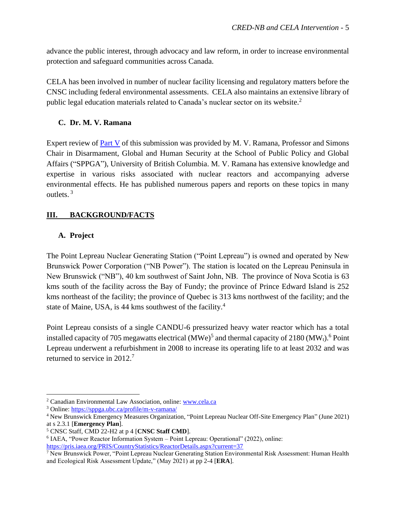advance the public interest, through advocacy and law reform, in order to increase environmental protection and safeguard communities across Canada.

CELA has been involved in number of nuclear facility licensing and regulatory matters before the CNSC including federal environmental assessments. CELA also maintains an extensive library of public legal education materials related to Canada's nuclear sector on its website.<sup>2</sup>

### <span id="page-6-0"></span>**C. Dr. M. V. Ramana**

Expert review of [Part](#page-15-0) V of this submission was provided by M. V. Ramana, Professor and Simons Chair in Disarmament, Global and Human Security at the School of Public Policy and Global Affairs ("SPPGA"), University of British Columbia. M. V. Ramana has extensive knowledge and expertise in various risks associated with nuclear reactors and accompanying adverse environmental effects. He has published numerous papers and reports on these topics in many outlets. 3

### <span id="page-6-1"></span>**III. BACKGROUND/FACTS**

### <span id="page-6-2"></span>**A. Project**

The Point Lepreau Nuclear Generating Station ("Point Lepreau") is owned and operated by New Brunswick Power Corporation ("NB Power"). The station is located on the Lepreau Peninsula in New Brunswick ("NB"), 40 km southwest of Saint John, NB. The province of Nova Scotia is 63 kms south of the facility across the Bay of Fundy; the province of Prince Edward Island is 252 kms northeast of the facility; the province of Quebec is 313 kms northwest of the facility; and the state of Maine, USA, is 44 kms southwest of the facility.<sup>4</sup>

Point Lepreau consists of a single CANDU-6 pressurized heavy water reactor which has a total installed capacity of 705 megawatts electrical  $(MWe)^5$  and thermal capacity of 2180  $(MW_t)$ .<sup>6</sup> Point Lepreau underwent a refurbishment in 2008 to increase its operating life to at least 2032 and was returned to service in 2012.<sup>7</sup>

<sup>2</sup> Canadian Environmental Law Association, online[: www.cela.ca](http://www.cela.ca/)

<sup>3</sup> Online: <https://sppga.ubc.ca/profile/m-v-ramana/>

<sup>4</sup> New Brunswick Emergency Measures Organization, "Point Lepreau Nuclear Off-Site Emergency Plan" (June 2021) at s 2.3.1 [**Emergency Plan**].

<sup>5</sup> CNSC Staff, CMD 22-H2 at p 4 [**CNSC Staff CMD**].

<sup>&</sup>lt;sup>6</sup> IAEA, "Power Reactor Information System – Point Lepreau: Operational" (2022), online: <https://pris.iaea.org/PRIS/CountryStatistics/ReactorDetails.aspx?current=37>

<sup>&</sup>lt;sup>7</sup> New Brunswick Power, "Point Lepreau Nuclear Generating Station Environmental Risk Assessment: Human Health and Ecological Risk Assessment Update," (May 2021) at pp 2-4 [**ERA**].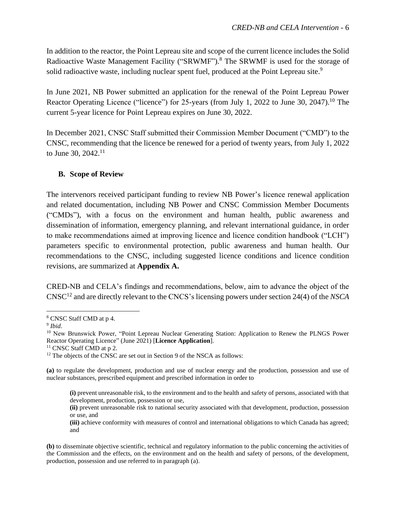In addition to the reactor, the Point Lepreau site and scope of the current licence includes the Solid Radioactive Waste Management Facility ("SRWMF").<sup>8</sup> The SRWMF is used for the storage of solid radioactive waste, including nuclear spent fuel, produced at the Point Lepreau site.<sup>9</sup>

In June 2021, NB Power submitted an application for the renewal of the Point Lepreau Power Reactor Operating Licence ("licence") for 25-years (from July 1, 2022 to June 30, 2047).<sup>10</sup> The current 5-year licence for Point Lepreau expires on June 30, 2022.

In December 2021, CNSC Staff submitted their Commission Member Document ("CMD") to the CNSC, recommending that the licence be renewed for a period of twenty years, from July 1, 2022 to June 30,  $2042$ <sup>11</sup>

### <span id="page-7-0"></span>**B. Scope of Review**

The intervenors received participant funding to review NB Power's licence renewal application and related documentation, including NB Power and CNSC Commission Member Documents ("CMDs"), with a focus on the environment and human health, public awareness and dissemination of information, emergency planning, and relevant international guidance, in order to make recommendations aimed at improving licence and licence condition handbook ("LCH") parameters specific to environmental protection, public awareness and human health. Our recommendations to the CNSC, including suggested licence conditions and licence condition revisions, are summarized at **Appendix A.**

CRED-NB and CELA's findings and recommendations, below, aim to advance the object of the CNSC<sup>12</sup> and are directly relevant to the CNCS's licensing powers under section 24(4) of the *NSCA*

<sup>11</sup> CNSC Staff CMD at p 2.

<sup>8</sup> CNSC Staff CMD at p 4.

<sup>9</sup> *Ibid*.

<sup>&</sup>lt;sup>10</sup> New Brunswick Power, "Point Lepreau Nuclear Generating Station: Application to Renew the PLNGS Power Reactor Operating Licence" (June 2021) [**Licence Application**].

 $12$  The objects of the CNSC are set out in Section 9 of the NSCA as follows:

**<sup>(</sup>a)** to regulate the development, production and use of nuclear energy and the production, possession and use of nuclear substances, prescribed equipment and prescribed information in order to

**<sup>(</sup>i)** prevent unreasonable risk, to the environment and to the health and safety of persons, associated with that development, production, possession or use,

**<sup>(</sup>ii)** prevent unreasonable risk to national security associated with that development, production, possession or use, and

**<sup>(</sup>iii)** achieve conformity with measures of control and international obligations to which Canada has agreed; and

**<sup>(</sup>b)** to disseminate objective scientific, technical and regulatory information to the public concerning the activities of the Commission and the effects, on the environment and on the health and safety of persons, of the development, production, possession and use referred to in paragraph (a).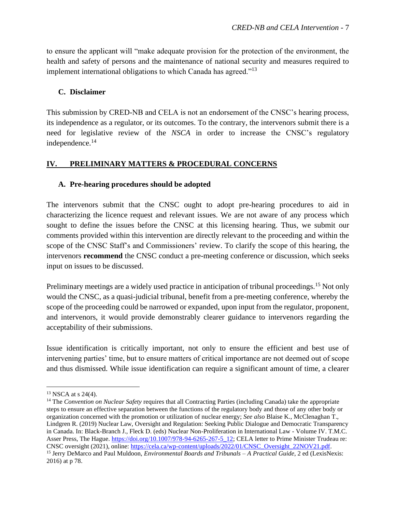to ensure the applicant will "make adequate provision for the protection of the environment, the health and safety of persons and the maintenance of national security and measures required to implement international obligations to which Canada has agreed."<sup>13</sup>

#### <span id="page-8-0"></span>**C. Disclaimer**

This submission by CRED-NB and CELA is not an endorsement of the CNSC's hearing process, its independence as a regulator, or its outcomes. To the contrary, the intervenors submit there is a need for legislative review of the *NSCA* in order to increase the CNSC's regulatory independence. 14

### <span id="page-8-1"></span>**IV. PRELIMINARY MATTERS & PROCEDURAL CONCERNS**

#### <span id="page-8-2"></span>**A. Pre-hearing procedures should be adopted**

The intervenors submit that the CNSC ought to adopt pre-hearing procedures to aid in characterizing the licence request and relevant issues. We are not aware of any process which sought to define the issues before the CNSC at this licensing hearing. Thus, we submit our comments provided within this intervention are directly relevant to the proceeding and within the scope of the CNSC Staff's and Commissioners' review. To clarify the scope of this hearing, the intervenors **recommend** the CNSC conduct a pre-meeting conference or discussion, which seeks input on issues to be discussed.

Preliminary meetings are a widely used practice in anticipation of tribunal proceedings.<sup>15</sup> Not only would the CNSC, as a quasi-judicial tribunal, benefit from a pre-meeting conference, whereby the scope of the proceeding could be narrowed or expanded, upon input from the regulator, proponent, and intervenors, it would provide demonstrably clearer guidance to intervenors regarding the acceptability of their submissions.

Issue identification is critically important, not only to ensure the efficient and best use of intervening parties' time, but to ensure matters of critical importance are not deemed out of scope and thus dismissed. While issue identification can require a significant amount of time, a clearer

 $13$  NSCA at s 24(4).

<sup>14</sup> The *Convention on Nuclear Safety* requires that all Contracting Parties (including Canada) take the appropriate steps to ensure an effective separation between the functions of the regulatory body and those of any other body or organization concerned with the promotion or utilization of nuclear energy; *See also* Blaise K., McClenaghan T., Lindgren R. (2019) Nuclear Law, Oversight and Regulation: Seeking Public Dialogue and Democratic Transparency in Canada. In: Black-Branch J., Fleck D. (eds) Nuclear Non-Proliferation in International Law - Volume IV. T.M.C. Asser Press, The Hague[. https://doi.org/10.1007/978-94-6265-267-5\\_12;](https://doi.org/10.1007/978-94-6265-267-5_12) CELA letter to Prime Minister Trudeau re: CNSC oversight (2021), online: [https://cela.ca/wp-content/uploads/2022/01/CNSC\\_Oversight\\_22NOV21.pdf.](https://cela.ca/wp-content/uploads/2022/01/CNSC_Oversight_22NOV21.pdf) <sup>15</sup> Jerry DeMarco and Paul Muldoon, *Environmental Boards and Tribunals – A Practical Guide*, 2 ed (LexisNexis: 2016) at p 78.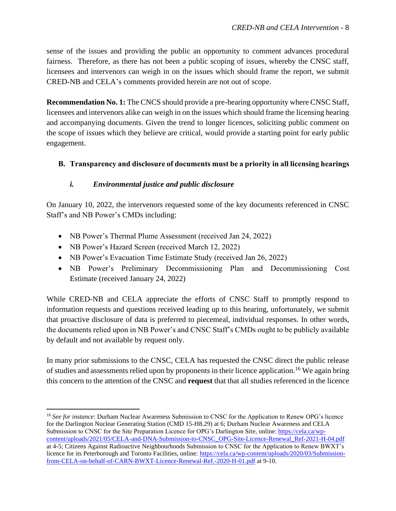sense of the issues and providing the public an opportunity to comment advances procedural fairness. Therefore, as there has not been a public scoping of issues, whereby the CNSC staff, licensees and intervenors can weigh in on the issues which should frame the report, we submit CRED-NB and CELA's comments provided herein are not out of scope.

**Recommendation No. 1:** The CNCS should provide a pre-hearing opportunity where CNSC Staff, licensees and intervenors alike can weigh in on the issues which should frame the licensing hearing and accompanying documents. Given the trend to longer licences, soliciting public comment on the scope of issues which they believe are critical, would provide a starting point for early public engagement.

### <span id="page-9-0"></span>**B. Transparency and disclosure of documents must be a priority in all licensing hearings**

### *i. Environmental justice and public disclosure*

<span id="page-9-1"></span>On January 10, 2022, the intervenors requested some of the key documents referenced in CNSC Staff's and NB Power's CMDs including:

- NB Power's Thermal Plume Assessment (received Jan 24, 2022)
- NB Power's Hazard Screen (received March 12, 2022)
- NB Power's Evacuation Time Estimate Study (received Jan 26, 2022)
- NB Power's Preliminary Decommissioning Plan and Decommissioning Cost Estimate (received January 24, 2022)

While CRED-NB and CELA appreciate the efforts of CNSC Staff to promptly respond to information requests and questions received leading up to this hearing, unfortunately, we submit that proactive disclosure of data is preferred to piecemeal, individual responses. In other words, the documents relied upon in NB Power's and CNSC Staff's CMDs ought to be publicly available by default and not available by request only.

In many prior submissions to the CNSC, CELA has requested the CNSC direct the public release of studies and assessments relied upon by proponents in their licence application.<sup>16</sup> We again bring this concern to the attention of the CNSC and **request** that that all studies referenced in the licence

<sup>&</sup>lt;sup>16</sup> See for instance: Durham Nuclear Awareness Submission to CNSC for the Application to Renew OPG's licence for the Darlington Nuclear Generating Station (CMD 15-H8.29) at 6; Durham Nuclear Awareness and CELA Submission to CNSC for the Site Preparation Licence for OPG's Darlington Site, online: [https://cela.ca/wp](https://cela.ca/wp-content/uploads/2021/05/CELA-and-DNA-Submission-to-CNSC_OPG-Site-Licence-Renewal_Ref-2021-H-04.pdf)[content/uploads/2021/05/CELA-and-DNA-Submission-to-CNSC\\_OPG-Site-Licence-Renewal\\_Ref-2021-H-04.pdf](https://cela.ca/wp-content/uploads/2021/05/CELA-and-DNA-Submission-to-CNSC_OPG-Site-Licence-Renewal_Ref-2021-H-04.pdf) at 4-5; Citizens Against Radioactive Neighbourhoods Submission to CNSC for the Application to Renew BWXT's licence for its Peterborough and Toronto Facilities, online: [https://cela.ca/wp-content/uploads/2020/03/Submission](https://cela.ca/wp-content/uploads/2020/03/Submission-from-CELA-on-behalf-of-CARN-BWXT-Licence-Renewal-Ref.-2020-H-01.pdf)[from-CELA-on-behalf-of-CARN-BWXT-Licence-Renewal-Ref.-2020-H-01.pdf](https://cela.ca/wp-content/uploads/2020/03/Submission-from-CELA-on-behalf-of-CARN-BWXT-Licence-Renewal-Ref.-2020-H-01.pdf) at 9-10.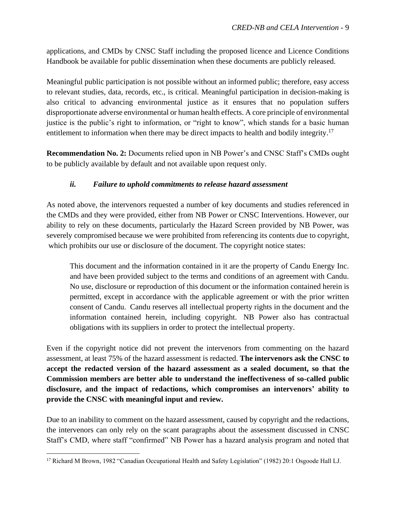applications, and CMDs by CNSC Staff including the proposed licence and Licence Conditions Handbook be available for public dissemination when these documents are publicly released.

Meaningful public participation is not possible without an informed public; therefore, easy access to relevant studies, data, records, etc., is critical. Meaningful participation in decision-making is also critical to advancing environmental justice as it ensures that no population suffers disproportionate adverse environmental or human health effects. A core principle of environmental justice is the public's right to information, or "right to know", which stands for a basic human entitlement to information when there may be direct impacts to health and bodily integrity.<sup>17</sup>

**Recommendation No. 2:** Documents relied upon in NB Power's and CNSC Staff's CMDs ought to be publicly available by default and not available upon request only.

### *ii. Failure to uphold commitments to release hazard assessment*

<span id="page-10-0"></span>As noted above, the intervenors requested a number of key documents and studies referenced in the CMDs and they were provided, either from NB Power or CNSC Interventions. However, our ability to rely on these documents, particularly the Hazard Screen provided by NB Power, was severely compromised because we were prohibited from referencing its contents due to copyright, which prohibits our use or disclosure of the document. The copyright notice states:

This document and the information contained in it are the property of Candu Energy Inc. and have been provided subject to the terms and conditions of an agreement with Candu. No use, disclosure or reproduction of this document or the information contained herein is permitted, except in accordance with the applicable agreement or with the prior written consent of Candu. Candu reserves all intellectual property rights in the document and the information contained herein, including copyright. NB Power also has contractual obligations with its suppliers in order to protect the intellectual property.

Even if the copyright notice did not prevent the intervenors from commenting on the hazard assessment, at least 75% of the hazard assessment is redacted. **The intervenors ask the CNSC to accept the redacted version of the hazard assessment as a sealed document, so that the Commission members are better able to understand the ineffectiveness of so-called public disclosure, and the impact of redactions, which compromises an intervenors' ability to provide the CNSC with meaningful input and review.**

Due to an inability to comment on the hazard assessment, caused by copyright and the redactions, the intervenors can only rely on the scant paragraphs about the assessment discussed in CNSC Staff's CMD, where staff "confirmed" NB Power has a hazard analysis program and noted that

<sup>17</sup> Richard M Brown, 1982 "Canadian Occupational Health and Safety Legislation" (1982) 20:1 Osgoode Hall LJ.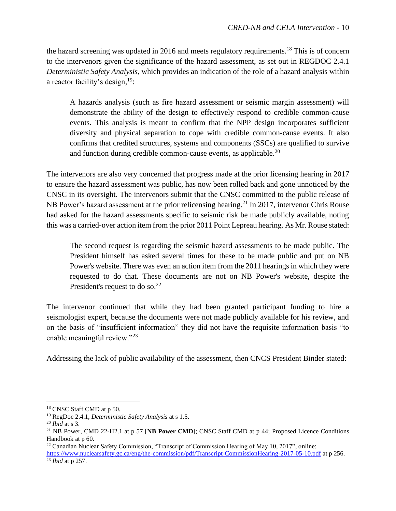the hazard screening was updated in 2016 and meets regulatory requirements.<sup>18</sup> This is of concern to the intervenors given the significance of the hazard assessment, as set out in REGDOC 2.4.1 *Deterministic Safety Analysis*, which provides an indication of the role of a hazard analysis within a reactor facility's design,<sup>19</sup>:

A hazards analysis (such as fire hazard assessment or seismic margin assessment) will demonstrate the ability of the design to effectively respond to credible common-cause events. This analysis is meant to confirm that the NPP design incorporates sufficient diversity and physical separation to cope with credible common-cause events. It also confirms that credited structures, systems and components (SSCs) are qualified to survive and function during credible common-cause events, as applicable.<sup>20</sup>

The intervenors are also very concerned that progress made at the prior licensing hearing in 2017 to ensure the hazard assessment was public, has now been rolled back and gone unnoticed by the CNSC in its oversight. The intervenors submit that the CNSC committed to the public release of NB Power's hazard assessment at the prior relicensing hearing.<sup>21</sup> In 2017, intervenor Chris Rouse had asked for the hazard assessments specific to seismic risk be made publicly available, noting this was a carried-over action item from the prior 2011 Point Lepreau hearing. As Mr. Rouse stated:

The second request is regarding the seismic hazard assessments to be made public. The President himself has asked several times for these to be made public and put on NB Power's website. There was even an action item from the 2011 hearings in which they were requested to do that. These documents are not on NB Power's website, despite the President's request to do so.<sup>22</sup>

The intervenor continued that while they had been granted participant funding to hire a seismologist expert, because the documents were not made publicly available for his review, and on the basis of "insufficient information" they did not have the requisite information basis "to enable meaningful review."<sup>23</sup>

Addressing the lack of public availability of the assessment, then CNCS President Binder stated:

<sup>18</sup> CNSC Staff CMD at p 50.

<sup>19</sup> RegDoc 2.4.1, *Deterministic Safety Analysis* at s 1.5.

<sup>20</sup> *Ibid* at s 3.

<sup>21</sup> NB Power, CMD 22-H2.1 at p 57 [**NB Power CMD**]; CNSC Staff CMD at p 44; Proposed Licence Conditions Handbook at p 60.

<sup>22</sup> Canadian Nuclear Safety Commission, "Transcript of Commission Hearing of May 10, 2017", online:

<https://www.nuclearsafety.gc.ca/eng/the-commission/pdf/Transcript-CommissionHearing-2017-05-10.pdf> at p 256. <sup>23</sup> *Ibid* at p 257.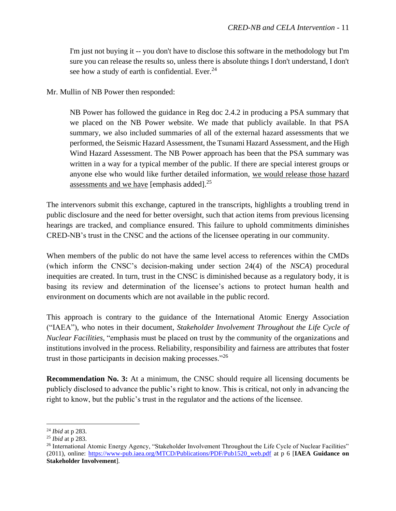I'm just not buying it -- you don't have to disclose this software in the methodology but I'm sure you can release the results so, unless there is absolute things I don't understand, I don't see how a study of earth is confidential. Ever. $24$ 

Mr. Mullin of NB Power then responded:

NB Power has followed the guidance in Reg doc 2.4.2 in producing a PSA summary that we placed on the NB Power website. We made that publicly available. In that PSA summary, we also included summaries of all of the external hazard assessments that we performed, the Seismic Hazard Assessment, the Tsunami Hazard Assessment, and the High Wind Hazard Assessment. The NB Power approach has been that the PSA summary was written in a way for a typical member of the public. If there are special interest groups or anyone else who would like further detailed information, we would release those hazard assessments and we have [emphasis added].<sup>25</sup>

The intervenors submit this exchange, captured in the transcripts, highlights a troubling trend in public disclosure and the need for better oversight, such that action items from previous licensing hearings are tracked, and compliance ensured. This failure to uphold commitments diminishes CRED-NB's trust in the CNSC and the actions of the licensee operating in our community.

When members of the public do not have the same level access to references within the CMDs (which inform the CNSC's decision-making under section 24(4) of the *NSCA*) procedural inequities are created. In turn, trust in the CNSC is diminished because as a regulatory body, it is basing its review and determination of the licensee's actions to protect human health and environment on documents which are not available in the public record.

This approach is contrary to the guidance of the International Atomic Energy Association ("IAEA"), who notes in their document, *Stakeholder Involvement Throughout the Life Cycle of Nuclear Facilities*, "emphasis must be placed on trust by the community of the organizations and institutions involved in the process. Reliability, responsibility and fairness are attributes that foster trust in those participants in decision making processes."<sup>26</sup>

**Recommendation No. 3:** At a minimum, the CNSC should require all licensing documents be publicly disclosed to advance the public's right to know. This is critical, not only in advancing the right to know, but the public's trust in the regulator and the actions of the licensee.

<sup>24</sup> *Ibid* at p 283.

<sup>25</sup> *Ibid* at p 283.

<sup>&</sup>lt;sup>26</sup> International Atomic Energy Agency, "Stakeholder Involvement Throughout the Life Cycle of Nuclear Facilities" (2011), online: [https://www-pub.iaea.org/MTCD/Publications/PDF/Pub1520\\_web.pdf](https://www-pub.iaea.org/MTCD/Publications/PDF/Pub1520_web.pdf) at p 6 [**IAEA Guidance on Stakeholder Involvement**].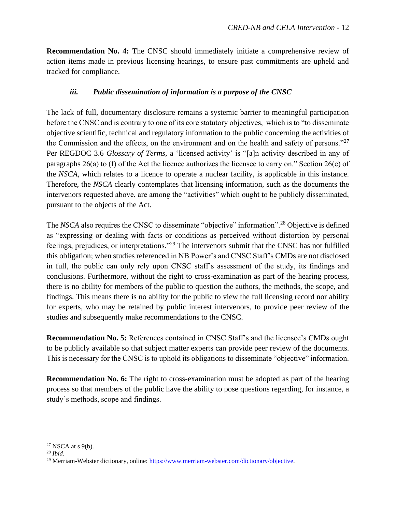**Recommendation No. 4:** The CNSC should immediately initiate a comprehensive review of action items made in previous licensing hearings, to ensure past commitments are upheld and tracked for compliance.

### *iii. Public dissemination of information is a purpose of the CNSC*

<span id="page-13-0"></span>The lack of full, documentary disclosure remains a systemic barrier to meaningful participation before the CNSC and is contrary to one of its core statutory objectives, which is to "to disseminate objective scientific, technical and regulatory information to the public concerning the activities of the Commission and the effects, on the environment and on the health and safety of persons."<sup>27</sup> Per REGDOC 3.6 *Glossary of Terms,* a 'licensed activity' is "[a]n activity described in any of paragraphs 26(a) to (f) of the Act the licence authorizes the licensee to carry on." Section 26(e) of the *NSCA*, which relates to a licence to operate a nuclear facility, is applicable in this instance. Therefore, the *NSCA* clearly contemplates that licensing information, such as the documents the intervenors requested above, are among the "activities" which ought to be publicly disseminated, pursuant to the objects of the Act.

The *NSCA* also requires the CNSC to disseminate "objective" information".<sup>28</sup> Objective is defined as "expressing or dealing with facts or conditions as perceived without distortion by personal feelings, prejudices, or interpretations."<sup>29</sup> The intervenors submit that the CNSC has not fulfilled this obligation; when studies referenced in NB Power's and CNSC Staff's CMDs are not disclosed in full, the public can only rely upon CNSC staff's assessment of the study, its findings and conclusions. Furthermore, without the right to cross-examination as part of the hearing process, there is no ability for members of the public to question the authors, the methods, the scope, and findings. This means there is no ability for the public to view the full licensing record nor ability for experts, who may be retained by public interest intervenors, to provide peer review of the studies and subsequently make recommendations to the CNSC.

**Recommendation No. 5:** References contained in CNSC Staff's and the licensee's CMDs ought to be publicly available so that subject matter experts can provide peer review of the documents. This is necessary for the CNSC is to uphold its obligations to disseminate "objective" information.

**Recommendation No. 6:** The right to cross-examination must be adopted as part of the hearing process so that members of the public have the ability to pose questions regarding, for instance, a study's methods, scope and findings.

 $27$  NSCA at s 9(b).

<sup>28</sup> *Ibid.*

<sup>&</sup>lt;sup>29</sup> Merriam-Webster dictionary, online: [https://www.merriam-webster.com/dictionary/objective.](https://www.merriam-webster.com/dictionary/objective)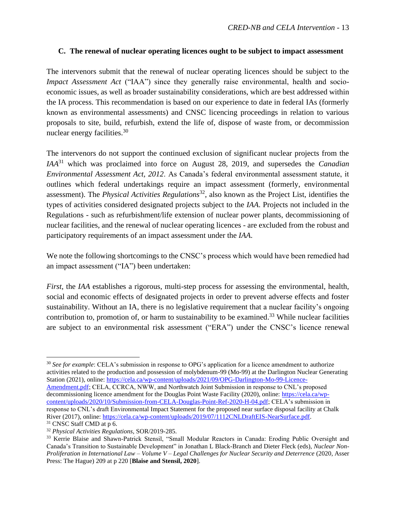#### <span id="page-14-0"></span>**C. The renewal of nuclear operating licences ought to be subject to impact assessment**

The intervenors submit that the renewal of nuclear operating licences should be subject to the *Impact Assessment Act* ("IAA") since they generally raise environmental, health and socioeconomic issues, as well as broader sustainability considerations, which are best addressed within the IA process. This recommendation is based on our experience to date in federal IAs (formerly known as environmental assessments) and CNSC licencing proceedings in relation to various proposals to site, build, refurbish, extend the life of, dispose of waste from, or decommission nuclear energy facilities.<sup>30</sup>

The intervenors do not support the continued exclusion of significant nuclear projects from the *IAA*<sup>31</sup> which was proclaimed into force on August 28, 2019, and supersedes the *Canadian Environmental Assessment Act, 2012*. As Canada's federal environmental assessment statute, it outlines which federal undertakings require an impact assessment (formerly, environmental assessment). The *Physical Activities Regulations*<sup>32</sup>, also known as the Project List, identifies the types of activities considered designated projects subject to the *IAA*. Projects not included in the Regulations - such as refurbishment/life extension of nuclear power plants, decommissioning of nuclear facilities, and the renewal of nuclear operating licences - are excluded from the robust and participatory requirements of an impact assessment under the *IAA*.

We note the following shortcomings to the CNSC's process which would have been remedied had an impact assessment ("IA") been undertaken:

*First*, the *IAA* establishes a rigorous, multi-step process for assessing the environmental, health, social and economic effects of designated projects in order to prevent adverse effects and foster sustainability. Without an IA, there is no legislative requirement that a nuclear facility's ongoing contribution to, promotion of, or harm to sustainability to be examined.<sup>33</sup> While nuclear facilities are subject to an environmental risk assessment ("ERA") under the CNSC's licence renewal

<sup>30</sup> See for example: CELA's submission in response to OPG's application for a licence amendment to authorize activities related to the production and possession of molybdenum-99 (Mo-99) at the Darlington Nuclear Generating Station (2021), online: [https://cela.ca/wp-content/uploads/2021/09/OPG-Darlington-Mo-99-Licence-](https://cela.ca/wp-content/uploads/2021/09/OPG-Darlington-Mo-99-Licence-Amendment.pdf)[Amendment.pdf;](https://cela.ca/wp-content/uploads/2021/09/OPG-Darlington-Mo-99-Licence-Amendment.pdf) CELA, CCRCA, NWW, and Northwatch Joint Submission in response to CNL's proposed decommissioning licence amendment for the Douglas Point Waste Facility (2020), online: [https://cela.ca/wp](https://cela.ca/wp-content/uploads/2020/10/Submission-from-CELA-Douglas-Point-Ref-2020-H-04.pdf)[content/uploads/2020/10/Submission-from-CELA-Douglas-Point-Ref-2020-H-04.pdf;](https://cela.ca/wp-content/uploads/2020/10/Submission-from-CELA-Douglas-Point-Ref-2020-H-04.pdf) CELA's submission in

response to CNL's draft Environmental Impact Statement for the proposed near surface disposal facility at Chalk River (2017), online[: https://cela.ca/wp-content/uploads/2019/07/1112CNLDraftEIS-NearSurface.pdf.](https://cela.ca/wp-content/uploads/2019/07/1112CNLDraftEIS-NearSurface.pdf) <sup>31</sup> CNSC Staff CMD at p 6.

<sup>32</sup> *Physical Activities Regulations*, SOR/2019-285.

<sup>33</sup> Kerrie Blaise and Shawn-Patrick Stensil, "Small Modular Reactors in Canada: Eroding Public Oversight and Canada's Transition to Sustainable Development" in Jonathan L Black-Branch and Dieter Fleck (eds), *Nuclear Non-Proliferation in International Law – Volume V – Legal Challenges for Nuclear Security and Deterrence* (2020, Asser Press: The Hague) 209 at p 220 [**Blaise and Stensil, 2020**].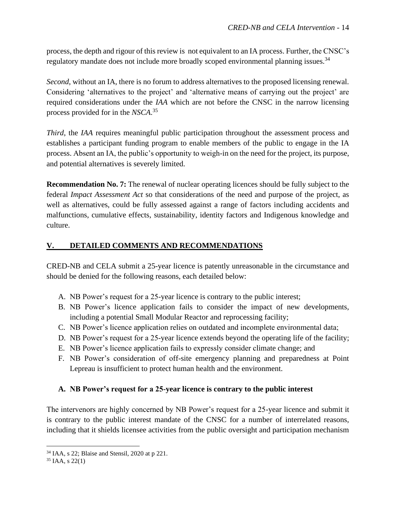process, the depth and rigour of this review is not equivalent to an IA process. Further, the CNSC's regulatory mandate does not include more broadly scoped environmental planning issues.<sup>34</sup>

*Second*, without an IA, there is no forum to address alternatives to the proposed licensing renewal. Considering 'alternatives to the project' and 'alternative means of carrying out the project' are required considerations under the *IAA* which are not before the CNSC in the narrow licensing process provided for in the *NSCA*. 35

*Third*, the *IAA* requires meaningful public participation throughout the assessment process and establishes a participant funding program to enable members of the public to engage in the IA process. Absent an IA, the public's opportunity to weigh-in on the need for the project, its purpose, and potential alternatives is severely limited.

**Recommendation No. 7:** The renewal of nuclear operating licences should be fully subject to the federal *Impact Assessment Act* so that considerations of the need and purpose of the project, as well as alternatives, could be fully assessed against a range of factors including accidents and malfunctions, cumulative effects, sustainability, identity factors and Indigenous knowledge and culture.

### <span id="page-15-0"></span>**V. DETAILED COMMENTS AND RECOMMENDATIONS**

CRED-NB and CELA submit a 25-year licence is patently unreasonable in the circumstance and should be denied for the following reasons, each detailed below:

- A. NB Power's request for a 25-year licence is contrary to the public interest;
- B. NB Power's licence application fails to consider the impact of new developments, including a potential Small Modular Reactor and reprocessing facility;
- C. NB Power's licence application relies on outdated and incomplete environmental data;
- D. NB Power's request for a 25-year licence extends beyond the operating life of the facility;
- E. NB Power's licence application fails to expressly consider climate change; and
- F. NB Power's consideration of off-site emergency planning and preparedness at Point Lepreau is insufficient to protect human health and the environment.

### <span id="page-15-1"></span>**A. NB Power's request for a 25-year licence is contrary to the public interest**

The intervenors are highly concerned by NB Power's request for a 25-year licence and submit it is contrary to the public interest mandate of the CNSC for a number of interrelated reasons, including that it shields licensee activities from the public oversight and participation mechanism

<sup>34</sup> IAA, s 22; Blaise and Stensil, 2020 at p 221.

 $35$  IAA, s 22(1)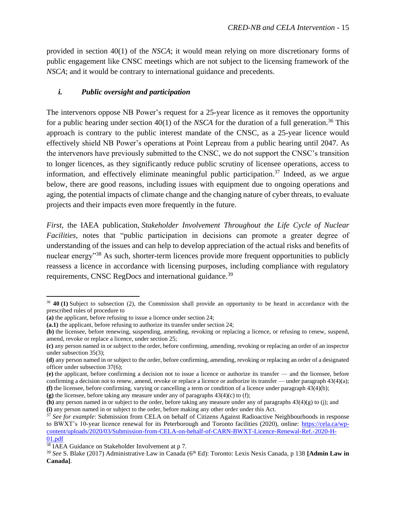provided in section 40(1) of the *NSCA*; it would mean relying on more discretionary forms of public engagement like CNSC meetings which are not subject to the licensing framework of the *NSCA*; and it would be contrary to international guidance and precedents.

#### <span id="page-16-0"></span>*i. Public oversight and participation*

The intervenors oppose NB Power's request for a 25-year licence as it removes the opportunity for a public hearing under section  $40(1)$  of the *NSCA* for the duration of a full generation.<sup>36</sup> This approach is contrary to the public interest mandate of the CNSC, as a 25-year licence would effectively shield NB Power's operations at Point Lepreau from a public hearing until 2047. As the intervenors have previously submitted to the CNSC, we do not support the CNSC's transition to longer licences, as they significantly reduce public scrutiny of licensee operations, access to information, and effectively eliminate meaningful public participation. <sup>37</sup> Indeed, as we argue below, there are good reasons, including issues with equipment due to ongoing operations and aging, the potential impacts of climate change and the changing nature of cyber threats, to evaluate projects and their impacts even more frequently in the future.

*First,* the IAEA publication, *Stakeholder Involvement Throughout the Life Cycle of Nuclear Facilities*, notes that "public participation in decisions can promote a greater degree of understanding of the issues and can help to develop appreciation of the actual risks and benefits of nuclear energy<sup>38</sup> As such, shorter-term licences provide more frequent opportunities to publicly reassess a licence in accordance with licensing purposes, including compliance with regulatory requirements, CNSC RegDocs and international guidance.<sup>39</sup>

**(g)** the licensee, before taking any measure under any of paragraphs 43(4)(c) to (f);

<sup>36</sup> **40 (1)** Subject to subsection (2), the Commission shall provide an opportunity to be heard in accordance with the prescribed rules of procedure to

**<sup>(</sup>a)** the applicant, before refusing to issue a licence under section 24;

**<sup>(</sup>a.1)** the applicant, before refusing to authorize its transfer under section 24;

**<sup>(</sup>b)** the licensee, before renewing, suspending, amending, revoking or replacing a licence, or refusing to renew, suspend, amend, revoke or replace a licence, under section 25;

**<sup>(</sup>c)** any person named in or subject to the order, before confirming, amending, revoking or replacing an order of an inspector under subsection 35(3);

**<sup>(</sup>d)** any person named in or subject to the order, before confirming, amending, revoking or replacing an order of a designated officer under subsection 37(6);

**<sup>(</sup>e)** the applicant, before confirming a decision not to issue a licence or authorize its transfer — and the licensee, before confirming a decision not to renew, amend, revoke or replace a licence or authorize its transfer — under paragraph  $43(4)(a)$ ; **(f)** the licensee, before confirming, varying or cancelling a term or condition of a licence under paragraph 43(4)(b);

**<sup>(</sup>h)** any person named in or subject to the order, before taking any measure under any of paragraphs 43(4)(g) to (j); and **(i)** any person named in or subject to the order, before making any other order under this Act.

<sup>&</sup>lt;sup>37</sup> See for example: Submission from CELA on behalf of Citizens Against Radioactive Neighbourhoods in response to BWXT's 10-year licence renewal for its Peterborough and Toronto facilities (2020), online: [https://cela.ca/wp](https://cela.ca/wp-content/uploads/2020/03/Submission-from-CELA-on-behalf-of-CARN-BWXT-Licence-Renewal-Ref.-2020-H-01.pdf)[content/uploads/2020/03/Submission-from-CELA-on-behalf-of-CARN-BWXT-Licence-Renewal-Ref.-2020-H-](https://cela.ca/wp-content/uploads/2020/03/Submission-from-CELA-on-behalf-of-CARN-BWXT-Licence-Renewal-Ref.-2020-H-01.pdf)[01.pdf](https://cela.ca/wp-content/uploads/2020/03/Submission-from-CELA-on-behalf-of-CARN-BWXT-Licence-Renewal-Ref.-2020-H-01.pdf)

<sup>38</sup> IAEA Guidance on Stakeholder Involvement at p 7.

<sup>39</sup> *See* S. Blake (2017) Administrative Law in Canada (6th Ed): Toronto: Lexis Nexis Canada, p 138 **[Admin Law in Canada]**.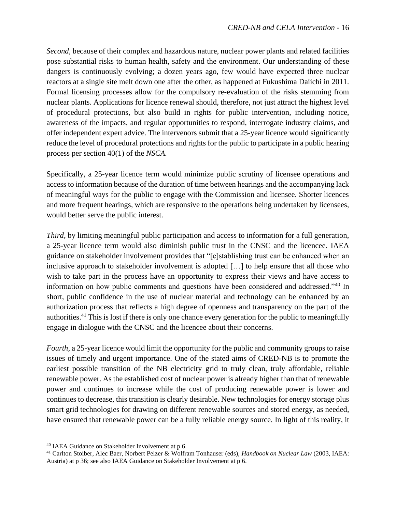*Second,* because of their complex and hazardous nature, nuclear power plants and related facilities pose substantial risks to human health, safety and the environment. Our understanding of these dangers is continuously evolving; a dozen years ago, few would have expected three nuclear reactors at a single site melt down one after the other, as happened at Fukushima Daiichi in 2011. Formal licensing processes allow for the compulsory re-evaluation of the risks stemming from nuclear plants. Applications for licence renewal should, therefore, not just attract the highest level of procedural protections, but also build in rights for public intervention, including notice, awareness of the impacts, and regular opportunities to respond, interrogate industry claims, and offer independent expert advice. The intervenors submit that a 25-year licence would significantly reduce the level of procedural protections and rights for the public to participate in a public hearing process per section 40(1) of the *NSCA.*

Specifically, a 25-year licence term would minimize public scrutiny of licensee operations and access to information because of the duration of time between hearings and the accompanying lack of meaningful ways for the public to engage with the Commission and licensee. Shorter licences and more frequent hearings, which are responsive to the operations being undertaken by licensees, would better serve the public interest.

*Third,* by limiting meaningful public participation and access to information for a full generation, a 25-year licence term would also diminish public trust in the CNSC and the licencee. IAEA guidance on stakeholder involvement provides that "[e]stablishing trust can be enhanced when an inclusive approach to stakeholder involvement is adopted […] to help ensure that all those who wish to take part in the process have an opportunity to express their views and have access to information on how public comments and questions have been considered and addressed."<sup>40</sup> In short, public confidence in the use of nuclear material and technology can be enhanced by an authorization process that reflects a high degree of openness and transparency on the part of the authorities.<sup>41</sup> This is lost if there is only one chance every generation for the public to meaningfully engage in dialogue with the CNSC and the licencee about their concerns.

*Fourth,* a 25-year licence would limit the opportunity for the public and community groups to raise issues of timely and urgent importance. One of the stated aims of CRED-NB is to promote the earliest possible transition of the NB electricity grid to truly clean, truly affordable, reliable renewable power. As the established cost of nuclear power is already higher than that of renewable power and continues to increase while the cost of producing renewable power is lower and continues to decrease, this transition is clearly desirable. New technologies for energy storage plus smart grid technologies for drawing on different renewable sources and stored energy, as needed, have ensured that renewable power can be a fully reliable energy source. In light of this reality, it

<sup>40</sup> IAEA Guidance on Stakeholder Involvement at p 6.

<sup>41</sup> Carlton Stoiber, Alec Baer, Norbert Pelzer & Wolfram Tonhauser (eds), *Handbook on Nuclear Law* (2003, IAEA: Austria) at p 36; see also IAEA Guidance on Stakeholder Involvement at p 6.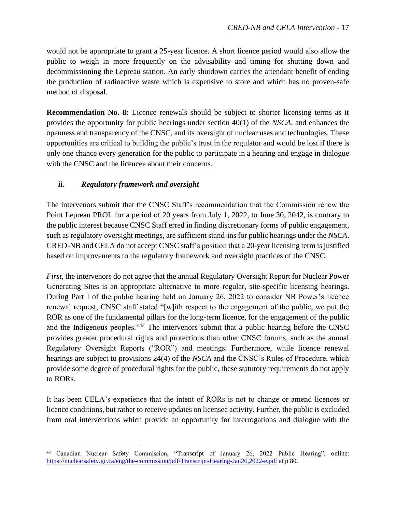would not be appropriate to grant a 25-year licence. A short licence period would also allow the public to weigh in more frequently on the advisability and timing for shutting down and decommissioning the Lepreau station. An early shutdown carries the attendant benefit of ending the production of radioactive waste which is expensive to store and which has no proven-safe method of disposal.

**Recommendation No. 8:** Licence renewals should be subject to shorter licensing terms as it provides the opportunity for public hearings under section 40(1) of the *NSCA*, and enhances the openness and transparency of the CNSC, and its oversight of nuclear uses and technologies. These opportunities are critical to building the public's trust in the regulator and would be lost if there is only one chance every generation for the public to participate in a hearing and engage in dialogue with the CNSC and the licencee about their concerns.

### <span id="page-18-0"></span>*ii. Regulatory framework and oversight*

The intervenors submit that the CNSC Staff's recommendation that the Commission renew the Point Lepreau PROL for a period of 20 years from July 1, 2022, to June 30, 2042, is contrary to the public interest because CNSC Staff erred in finding discretionary forms of public engagement, such as regulatory oversight meetings, are sufficient stand-ins for public hearings under the *NSCA*. CRED-NB and CELA do not accept CNSC staff's position that a 20-year licensing term is justified based on improvements to the regulatory framework and oversight practices of the CNSC.

*First*, the intervenors do not agree that the annual Regulatory Oversight Report for Nuclear Power Generating Sites is an appropriate alternative to more regular, site-specific licensing hearings. During Part I of the public hearing held on January 26, 2022 to consider NB Power's licence renewal request, CNSC staff stated "[w]ith respect to the engagement of the public, we put the ROR as one of the fundamental pillars for the long-term licence, for the engagement of the public and the Indigenous peoples."<sup>42</sup> The intervenors submit that a public hearing before the CNSC provides greater procedural rights and protections than other CNSC forums, such as the annual Regulatory Oversight Reports ("ROR") and meetings. Furthermore, while licence renewal hearings are subject to provisions 24(4) of the *NSCA* and the CNSC's Rules of Procedure, which provide some degree of procedural rights for the public, these statutory requirements do not apply to RORs.

It has been CELA's experience that the intent of RORs is not to change or amend licences or licence conditions, but rather to receive updates on licensee activity. Further, the public is excluded from oral interventions which provide an opportunity for interrogations and dialogue with the

<sup>42</sup> Canadian Nuclear Safety Commission, "Transcript of January 26, 2022 Public Hearing", online: <https://nuclearsafety.gc.ca/eng/the-commission/pdf/Transcript-Hearing-Jan26,2022-e.pdf> at p 80.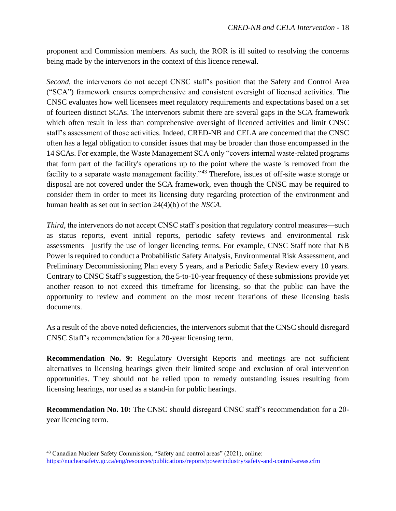proponent and Commission members. As such, the ROR is ill suited to resolving the concerns being made by the intervenors in the context of this licence renewal.

*Second*, the intervenors do not accept CNSC staff's position that the Safety and Control Area ("SCA") framework ensures comprehensive and consistent oversight of licensed activities. The CNSC evaluates how well licensees meet regulatory requirements and expectations based on a set of fourteen distinct SCAs. The intervenors submit there are several gaps in the SCA framework which often result in less than comprehensive oversight of licenced activities and limit CNSC staff's assessment of those activities. Indeed, CRED-NB and CELA are concerned that the CNSC often has a legal obligation to consider issues that may be broader than those encompassed in the 14 SCAs. For example, the Waste Management SCA only "covers internal waste-related programs that form part of the facility's operations up to the point where the waste is removed from the facility to a separate waste management facility."<sup>43</sup> Therefore, issues of off-site waste storage or disposal are not covered under the SCA framework, even though the CNSC may be required to consider them in order to meet its licensing duty regarding protection of the environment and human health as set out in section 24(4)(b) of the *NSCA*.

*Third*, the intervenors do not accept CNSC staff's position that regulatory control measures—such as status reports, event initial reports, periodic safety reviews and environmental risk assessments—justify the use of longer licencing terms. For example, CNSC Staff note that NB Power is required to conduct a Probabilistic Safety Analysis, Environmental Risk Assessment, and Preliminary Decommissioning Plan every 5 years, and a Periodic Safety Review every 10 years. Contrary to CNSC Staff's suggestion, the 5-to-10-year frequency of these submissions provide yet another reason to not exceed this timeframe for licensing, so that the public can have the opportunity to review and comment on the most recent iterations of these licensing basis documents.

As a result of the above noted deficiencies, the intervenors submit that the CNSC should disregard CNSC Staff's recommendation for a 20-year licensing term.

**Recommendation No. 9:** Regulatory Oversight Reports and meetings are not sufficient alternatives to licensing hearings given their limited scope and exclusion of oral intervention opportunities. They should not be relied upon to remedy outstanding issues resulting from licensing hearings, nor used as a stand-in for public hearings.

**Recommendation No. 10:** The CNSC should disregard CNSC staff's recommendation for a 20 year licencing term.

<sup>43</sup> Canadian Nuclear Safety Commission, "Safety and control areas" (2021), online: <https://nuclearsafety.gc.ca/eng/resources/publications/reports/powerindustry/safety-and-control-areas.cfm>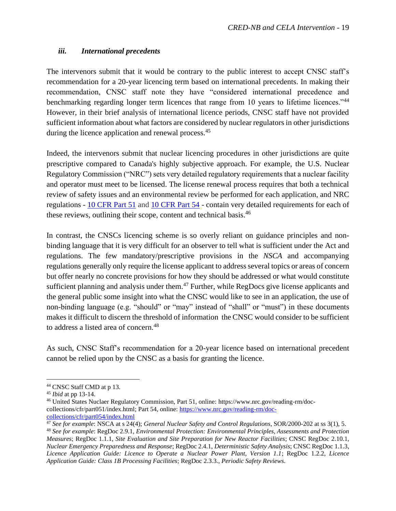#### <span id="page-20-0"></span>*iii. International precedents*

The intervenors submit that it would be contrary to the public interest to accept CNSC staff's recommendation for a 20-year licencing term based on international precedents. In making their recommendation, CNSC staff note they have "considered international precedence and benchmarking regarding longer term licences that range from 10 years to lifetime licences."<sup>44</sup> However, in their brief analysis of international licence periods, CNSC staff have not provided sufficient information about what factors are considered by nuclear regulators in other jurisdictions during the licence application and renewal process.<sup>45</sup>

Indeed, the intervenors submit that nuclear licencing procedures in other jurisdictions are quite prescriptive compared to Canada's highly subjective approach. For example, the U.S. Nuclear Regulatory Commission ("NRC") sets very detailed regulatory requirements that a nuclear facility and operator must meet to be licensed. The license renewal process requires that both a technical review of safety issues and an environmental review be performed for each application, and NRC regulations - [10 CFR Part 51](https://www.nrc.gov/reading-rm/doc-collections/cfr/part051/index.html) and [10 CFR Part 54](https://www.nrc.gov/reading-rm/doc-collections/cfr/part054/index.html) - contain very detailed requirements for each of these reviews, outlining their scope, content and technical basis.<sup>46</sup>

In contrast, the CNSCs licencing scheme is so overly reliant on guidance principles and nonbinding language that it is very difficult for an observer to tell what is sufficient under the Act and regulations. The few mandatory/prescriptive provisions in the *NSCA* and accompanying regulations generally only require the license applicant to address several topics or areas of concern but offer nearly no concrete provisions for how they should be addressed or what would constitute sufficient planning and analysis under them.<sup>47</sup> Further, while RegDocs give license applicants and the general public some insight into what the CNSC would like to see in an application, the use of non-binding language (e.g. "should" or "may" instead of "shall" or "must") in these documents makes it difficult to discern the threshold of information the CNSC would consider to be sufficient to address a listed area of concern. 48

As such, CNSC Staff's recommendation for a 20-year licence based on international precedent cannot be relied upon by the CNSC as a basis for granting the licence.

<sup>44</sup> CNSC Staff CMD at p 13.

<sup>45</sup> *Ibid* at pp 13-14.

<sup>46</sup> United States Nuclaer Regulatory Commission, Part 51, online: https://www.nrc.gov/reading-rm/doccollections/cfr/part051/index.html; Part 54, online[: https://www.nrc.gov/reading-rm/doc](https://www.nrc.gov/reading-rm/doc-collections/cfr/part054/index.html)[collections/cfr/part054/index.html](https://www.nrc.gov/reading-rm/doc-collections/cfr/part054/index.html)

<sup>47</sup> *See for example*: NSCA at s 24(4); *General Nuclear Safety and Control Regulations*, SOR/2000-202 at ss 3(1), 5. <sup>48</sup> *See for example*: RegDoc 2.9.1, *Environmental Protection: Environmental Principles, Assessments and Protection Measures*; RegDoc 1.1.1, *Site Evaluation and Site Preparation for New Reactor Facilities*; CNSC RegDoc 2.10.1, *Nuclear Emergency Preparedness and Response*; RegDoc 2.4.1, *Deterministic Safety Analysis*; CNSC RegDoc 1.1.3, *Licence Application Guide: Licence to Operate a Nuclear Power Plant, Version 1.1*; RegDoc 1.2.2, *Licence Application Guide: Class 1B Processing Facilities*; RegDoc 2.3.3., *Periodic Safety Reviews*.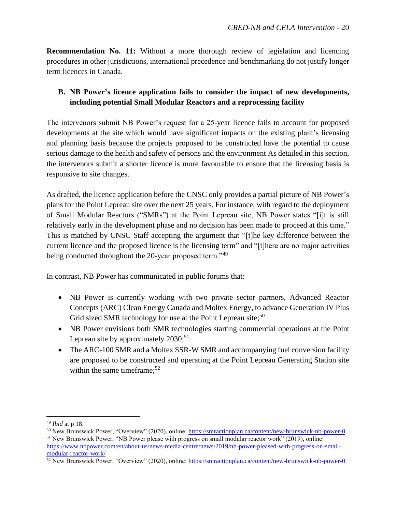**Recommendation No. 11:** Without a more thorough review of legislation and licencing procedures in other jurisdictions, international precedence and benchmarking do not justify longer term licences in Canada.

# <span id="page-21-0"></span>**B. NB Power's licence application fails to consider the impact of new developments, including potential Small Modular Reactors and a reprocessing facility**

The intervenors submit NB Power's request for a 25-year licence fails to account for proposed developments at the site which would have significant impacts on the existing plant's licensing and planning basis because the projects proposed to be constructed have the potential to cause serious damage to the health and safety of persons and the environment As detailed in this section, the intervenors submit a shorter licence is more favourable to ensure that the licensing basis is responsive to site changes.

As drafted, the licence application before the CNSC only provides a partial picture of NB Power's plans for the Point Lepreau site over the next 25 years. For instance, with regard to the deployment of Small Modular Reactors ("SMRs") at the Point Lepreau site, NB Power states "[i]t is still relatively early in the development phase and no decision has been made to proceed at this time." This is matched by CNSC Staff accepting the argument that "[t]he key difference between the current licence and the proposed licence is the licensing term" and "[t]here are no major activities being conducted throughout the 20-year proposed term."<sup>49</sup>

In contrast, NB Power has communicated in public forums that:

- NB Power is currently working with two private sector partners, Advanced Reactor Concepts (ARC) Clean Energy Canada and Moltex Energy, to advance Generation IV Plus Grid sized SMR technology for use at the Point Lepreau site;<sup>50</sup>
- NB Power envisions both SMR technologies starting commercial operations at the Point Lepreau site by approximately 2030;<sup>51</sup>
- The ARC-100 SMR and a Moltex SSR-W SMR and accompanying fuel conversion facility are proposed to be constructed and operating at the Point Lepreau Generating Station site within the same timeframe;<sup>52</sup>

<sup>49</sup> *Ibid* at p 18.

<sup>50</sup> New Brunswick Power, "Overview" (2020), online: <https://smractionplan.ca/content/new-brunswick-nb-power-0> <sup>51</sup> New Brunswick Power, "NB Power please with progress on small modular reactor work" (2019), online:

[https://www.nbpower.com/en/about-us/news-media-centre/news/2019/nb-power-pleased-with-progress-on-small](https://www.nbpower.com/en/about-us/news-media-centre/news/2019/nb-power-pleased-with-progress-on-small-modular-reactor-work/)[modular-reactor-work/](https://www.nbpower.com/en/about-us/news-media-centre/news/2019/nb-power-pleased-with-progress-on-small-modular-reactor-work/)

<sup>52</sup> New Brunswick Power, "Overview" (2020), online:<https://smractionplan.ca/content/new-brunswick-nb-power-0>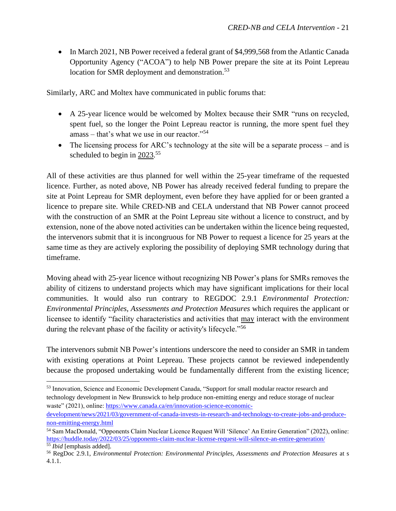• In March 2021, NB Power received a federal grant of \$4,999,568 from the Atlantic Canada Opportunity Agency ("ACOA") to help NB Power prepare the site at its Point Lepreau location for SMR deployment and demonstration.<sup>53</sup>

Similarly, ARC and Moltex have communicated in public forums that:

- A 25-year licence would be welcomed by Moltex because their SMR "runs on recycled, spent fuel, so the longer the Point Lepreau reactor is running, the more spent fuel they amass – that's what we use in our reactor."<sup>54</sup>
- The licensing process for ARC's technology at the site will be a separate process and is scheduled to begin in  $2023$ .<sup>55</sup>

All of these activities are thus planned for well within the 25-year timeframe of the requested licence. Further, as noted above, NB Power has already received federal funding to prepare the site at Point Lepreau for SMR deployment, even before they have applied for or been granted a licence to prepare site. While CRED-NB and CELA understand that NB Power cannot proceed with the construction of an SMR at the Point Lepreau site without a licence to construct, and by extension, none of the above noted activities can be undertaken within the licence being requested, the intervenors submit that it is incongruous for NB Power to request a licence for 25 years at the same time as they are actively exploring the possibility of deploying SMR technology during that timeframe.

Moving ahead with 25-year licence without recognizing NB Power's plans for SMRs removes the ability of citizens to understand projects which may have significant implications for their local communities. It would also run contrary to REGDOC 2.9.1 *Environmental Protection: Environmental Principles, Assessments and Protection Measures* which requires the applicant or licensee to identify "facility characteristics and activities that may interact with the environment during the relevant phase of the facility or activity's lifecycle."<sup>56</sup>

The intervenors submit NB Power's intentions underscore the need to consider an SMR in tandem with existing operations at Point Lepreau. These projects cannot be reviewed independently because the proposed undertaking would be fundamentally different from the existing licence;

<sup>53</sup> Innovation, Science and Economic Development Canada, "Support for small modular reactor research and technology development in New Brunswick to help produce non-emitting energy and reduce storage of nuclear waste" (2021), online: [https://www.canada.ca/en/innovation-science-economic-](https://www.canada.ca/en/innovation-science-economic-development/news/2021/03/government-of-canada-invests-in-research-and-technology-to-create-jobs-and-produce-non-emitting-energy.html)

[development/news/2021/03/government-of-canada-invests-in-research-and-technology-to-create-jobs-and-produce](https://www.canada.ca/en/innovation-science-economic-development/news/2021/03/government-of-canada-invests-in-research-and-technology-to-create-jobs-and-produce-non-emitting-energy.html)[non-emitting-energy.html](https://www.canada.ca/en/innovation-science-economic-development/news/2021/03/government-of-canada-invests-in-research-and-technology-to-create-jobs-and-produce-non-emitting-energy.html)

<sup>54</sup> Sam MacDonald, "Opponents Claim Nuclear Licence Request Will 'Silence' An Entire Generation" (2022), online: <https://huddle.today/2022/03/25/opponents-claim-nuclear-license-request-will-silence-an-entire-generation/> <sup>55</sup> *Ibid* [emphasis added].

<sup>56</sup> RegDoc 2.9.1, *Environmental Protection: Environmental Principles, Assessments and Protection Measures* at s 4.1.1.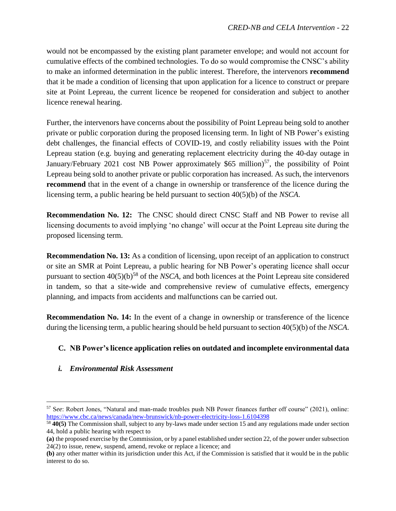would not be encompassed by the existing plant parameter envelope; and would not account for cumulative effects of the combined technologies. To do so would compromise the CNSC's ability to make an informed determination in the public interest. Therefore, the intervenors **recommend**  that it be made a condition of licensing that upon application for a licence to construct or prepare site at Point Lepreau, the current licence be reopened for consideration and subject to another licence renewal hearing.

Further, the intervenors have concerns about the possibility of Point Lepreau being sold to another private or public corporation during the proposed licensing term. In light of NB Power's existing debt challenges, the financial effects of COVID-19, and costly reliability issues with the Point Lepreau station (e.g. buying and generating replacement electricity during the 40-day outage in January/February 2021 cost NB Power approximately \$65 million)<sup>57</sup>, the possibility of Point Lepreau being sold to another private or public corporation has increased. As such, the intervenors **recommend** that in the event of a change in ownership or transference of the licence during the licensing term, a public hearing be held pursuant to section 40(5)(b) of the *NSCA*.

**Recommendation No. 12:** The CNSC should direct CNSC Staff and NB Power to revise all licensing documents to avoid implying 'no change' will occur at the Point Lepreau site during the proposed licensing term.

**Recommendation No. 13:** As a condition of licensing, upon receipt of an application to construct or site an SMR at Point Lepreau, a public hearing for NB Power's operating licence shall occur pursuant to section 40(5)(b)<sup>58</sup> of the *NSCA,* and both licences at the Point Lepreau site considered in tandem, so that a site-wide and comprehensive review of cumulative effects, emergency planning, and impacts from accidents and malfunctions can be carried out.

**Recommendation No. 14:** In the event of a change in ownership or transference of the licence during the licensing term, a public hearing should be held pursuant to section 40(5)(b) of the *NSCA*.

### <span id="page-23-0"></span>**C. NB Power's licence application relies on outdated and incomplete environmental data**

### *i. Environmental Risk Assessment*

<sup>57</sup> S*ee*: Robert Jones, "Natural and man-made troubles push NB Power finances further off course" (2021), online: <https://www.cbc.ca/news/canada/new-brunswick/nb-power-electricity-loss-1.6104398>

<sup>58</sup> **40(5)** The Commission shall, subject to any by-laws made under section 15 and any regulations made under section 44, hold a public hearing with respect to

**<sup>(</sup>a)** the proposed exercise by the Commission, or by a panel established under section 22, of the power under subsection 24(2) to issue, renew, suspend, amend, revoke or replace a licence; and

**<sup>(</sup>b)** any other matter within its jurisdiction under this Act, if the Commission is satisfied that it would be in the public interest to do so.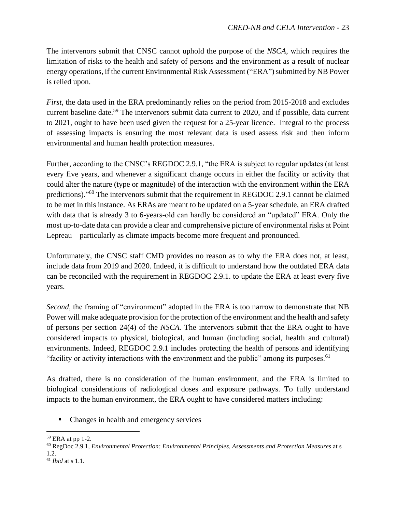The intervenors submit that CNSC cannot uphold the purpose of the *NSCA*, which requires the limitation of risks to the health and safety of persons and the environment as a result of nuclear energy operations, if the current Environmental Risk Assessment ("ERA") submitted by NB Power is relied upon.

*First*, the data used in the ERA predominantly relies on the period from 2015-2018 and excludes current baseline date.<sup>59</sup> The intervenors submit data current to 2020, and if possible, data current to 2021, ought to have been used given the request for a 25-year licence. Integral to the process of assessing impacts is ensuring the most relevant data is used assess risk and then inform environmental and human health protection measures.

Further, according to the CNSC's REGDOC 2.9.1*,* "the ERA is subject to regular updates (at least every five years, and whenever a significant change occurs in either the facility or activity that could alter the nature (type or magnitude) of the interaction with the environment within the ERA predictions)."<sup>60</sup> The intervenors submit that the requirement in REGDOC 2.9.1 cannot be claimed to be met in this instance. As ERAs are meant to be updated on a 5-year schedule, an ERA drafted with data that is already 3 to 6-years-old can hardly be considered an "updated" ERA. Only the most up-to-date data can provide a clear and comprehensive picture of environmental risks at Point Lepreau––particularly as climate impacts become more frequent and pronounced.

Unfortunately, the CNSC staff CMD provides no reason as to why the ERA does not, at least, include data from 2019 and 2020. Indeed, it is difficult to understand how the outdated ERA data can be reconciled with the requirement in REGDOC 2.9.1. to update the ERA at least every five years.

*Second*, the framing of "environment" adopted in the ERA is too narrow to demonstrate that NB Power will make adequate provision for the protection of the environment and the health and safety of persons per section 24(4) of the *NSCA.* The intervenors submit that the ERA ought to have considered impacts to physical, biological, and human (including social, health and cultural) environments. Indeed, REGDOC 2.9.1 includes protecting the health of persons and identifying "facility or activity interactions with the environment and the public" among its purposes.<sup>61</sup>

As drafted, there is no consideration of the human environment, and the ERA is limited to biological considerations of radiological doses and exposure pathways. To fully understand impacts to the human environment, the ERA ought to have considered matters including:

■ Changes in health and emergency services

<sup>59</sup> ERA at pp 1-2.

<sup>60</sup> RegDoc 2.9.1, *Environmental Protection: Environmental Principles, Assessments and Protection Measures* at s 1.2.

<sup>61</sup> *Ibid* at s 1.1.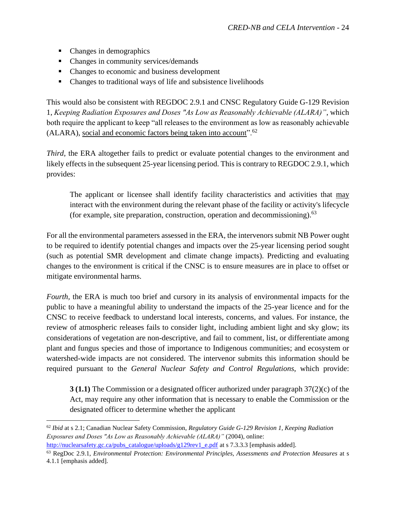- Changes in demographics
- Changes in community services/demands
- Changes to economic and business development
- Changes to traditional ways of life and subsistence livelihoods

This would also be consistent with REGDOC 2.9.1 and CNSC Regulatory Guide G-129 Revision 1, *Keeping Radiation Exposures and Doses "As Low as Reasonably Achievable (ALARA)"*, which both require the applicant to keep "all releases to the environment as low as reasonably achievable (ALARA), social and economic factors being taken into account".<sup>62</sup>

*Third*, the ERA altogether fails to predict or evaluate potential changes to the environment and likely effects in the subsequent 25-year licensing period. This is contrary to REGDOC 2.9.1, which provides:

The applicant or licensee shall identify facility characteristics and activities that may interact with the environment during the relevant phase of the facility or activity's lifecycle (for example, site preparation, construction, operation and decommissioning).<sup>63</sup>

For all the environmental parameters assessed in the ERA, the intervenors submit NB Power ought to be required to identify potential changes and impacts over the 25-year licensing period sought (such as potential SMR development and climate change impacts). Predicting and evaluating changes to the environment is critical if the CNSC is to ensure measures are in place to offset or mitigate environmental harms.

*Fourth,* the ERA is much too brief and cursory in its analysis of environmental impacts for the public to have a meaningful ability to understand the impacts of the 25-year licence and for the CNSC to receive feedback to understand local interests, concerns, and values. For instance, the review of atmospheric releases fails to consider light, including ambient light and sky glow; its considerations of vegetation are non-descriptive, and fail to comment, list, or differentiate among plant and fungus species and those of importance to Indigenous communities; and ecosystem or watershed-wide impacts are not considered. The intervenor submits this information should be required pursuant to the *General Nuclear Safety and Control Regulations*, which provide:

**3 (1.1)** The Commission or a designated officer authorized under paragraph 37(2)(c) of the Act, may require any other information that is necessary to enable the Commission or the designated officer to determine whether the applicant

<sup>62</sup> *Ibid* at s 2.1; Canadian Nuclear Safety Commission, *Regulatory Guide G-129 Revision 1, Keeping Radiation Exposures and Doses "As Low as Reasonably Achievable (ALARA)"* (2004), online:

[http://nuclearsafety.gc.ca/pubs\\_catalogue/uploads/g129rev1\\_e.pdf](http://nuclearsafety.gc.ca/pubs_catalogue/uploads/g129rev1_e.pdf) at s 7.3.3.3 [emphasis added].

<sup>63</sup> RegDoc 2.9.1, *Environmental Protection: Environmental Principles, Assessments and Protection Measures* at s 4.1.1 [emphasis added].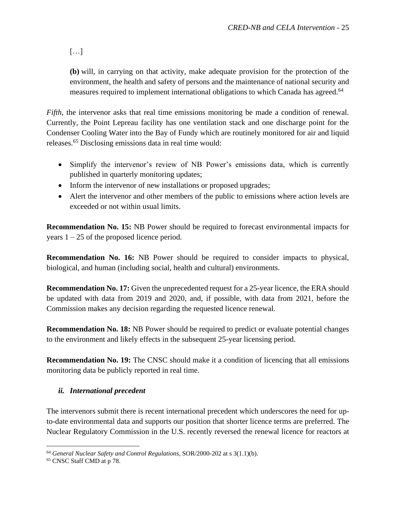[…]

**(b)** will, in carrying on that activity, make adequate provision for the protection of the environment, the health and safety of persons and the maintenance of national security and measures required to implement international obligations to which Canada has agreed.<sup>64</sup>

*Fifth*, the intervenor asks that real time emissions monitoring be made a condition of renewal. Currently, the Point Lepreau facility has one ventilation stack and one discharge point for the Condenser Cooling Water into the Bay of Fundy which are routinely monitored for air and liquid releases.<sup>65</sup> Disclosing emissions data in real time would:

- Simplify the intervenor's review of NB Power's emissions data, which is currently published in quarterly monitoring updates;
- Inform the intervenor of new installations or proposed upgrades;
- Alert the intervenor and other members of the public to emissions where action levels are exceeded or not within usual limits.

**Recommendation No. 15:** NB Power should be required to forecast environmental impacts for years  $1 - 25$  of the proposed licence period.

**Recommendation No. 16:** NB Power should be required to consider impacts to physical, biological, and human (including social, health and cultural) environments.

**Recommendation No. 17:** Given the unprecedented request for a 25-year licence, the ERA should be updated with data from 2019 and 2020, and, if possible, with data from 2021, before the Commission makes any decision regarding the requested licence renewal.

**Recommendation No. 18:** NB Power should be required to predict or evaluate potential changes to the environment and likely effects in the subsequent 25-year licensing period.

**Recommendation No. 19:** The CNSC should make it a condition of licencing that all emissions monitoring data be publicly reported in real time.

### *ii. International precedent*

The intervenors submit there is recent international precedent which underscores the need for upto-date environmental data and supports our position that shorter licence terms are preferred. The Nuclear Regulatory Commission in the U.S. recently reversed the renewal licence for reactors at

<sup>64</sup> *General Nuclear Safety and Control Regulations*, SOR/2000-202 at s 3(1.1)(b).

<sup>65</sup> CNSC Staff CMD at p 78.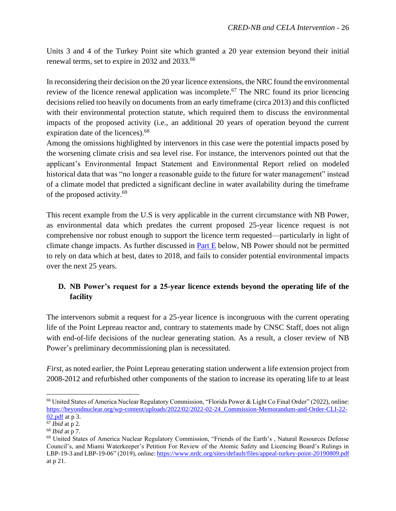Units 3 and 4 of the Turkey Point site which granted a 20 year extension beyond their initial renewal terms, set to expire in 2032 and 2033.<sup>66</sup>

In reconsidering their decision on the 20 year licence extensions, the NRC found the environmental review of the licence renewal application was incomplete.<sup>67</sup> The NRC found its prior licencing decisions relied too heavily on documents from an early timeframe (circa 2013) and this conflicted with their environmental protection statute, which required them to discuss the environmental impacts of the proposed activity (i.e., an additional 20 years of operation beyond the current expiration date of the licences).<sup>68</sup>

Among the omissions highlighted by intervenors in this case were the potential impacts posed by the worsening climate crisis and sea level rise. For instance, the intervenors pointed out that the applicant's Environmental Impact Statement and Environmental Report relied on modeled historical data that was "no longer a reasonable guide to the future for water management" instead of a climate model that predicted a significant decline in water availability during the timeframe of the proposed activity.<sup>69</sup>

This recent example from the U.S is very applicable in the current circumstance with NB Power, as environmental data which predates the current proposed 25-year licence request is not comprehensive nor robust enough to support the licence term requested––particularly in light of climate change impacts. As further discussed in [Part E](#page-30-0) below, NB Power should not be permitted to rely on data which at best, dates to 2018, and fails to consider potential environmental impacts over the next 25 years.

# <span id="page-27-0"></span>**D. NB Power's request for a 25-year licence extends beyond the operating life of the facility**

The intervenors submit a request for a 25-year licence is incongruous with the current operating life of the Point Lepreau reactor and, contrary to statements made by CNSC Staff, does not align with end-of-life decisions of the nuclear generating station. As a result, a closer review of NB Power's preliminary decommissioning plan is necessitated.

*First*, as noted earlier, the Point Lepreau generating station underwent a life extension project from 2008-2012 and refurbished other components of the station to increase its operating life to at least

<sup>&</sup>lt;sup>66</sup> United States of America Nuclear Regulatory Commission, "Florida Power & Light Co Final Order" (2022), online: [https://beyondnuclear.org/wp-content/uploads/2022/02/2022-02-24\\_Commission-Memorandum-and-Order-CLI-22-](https://beyondnuclear.org/wp-content/uploads/2022/02/2022-02-24_Commission-Memorandum-and-Order-CLI-22-02.pdf) [02.pdf](https://beyondnuclear.org/wp-content/uploads/2022/02/2022-02-24_Commission-Memorandum-and-Order-CLI-22-02.pdf) at p 3.

 $\overline{67}$  *Ibid* at p 2.

<sup>68</sup> *Ibid* at p 7.

<sup>69</sup> United States of America Nuclear Regulatory Commission, "Friends of the Earth's , Natural Resources Defense Council's, and Miami Waterkeeper's Petition For Review of the Atomic Safety and Licencing Board's Rulings in LBP-19-3 and LBP-19-06" (2019), online: <https://www.nrdc.org/sites/default/files/appeal-turkey-point-20190809.pdf> at p 21.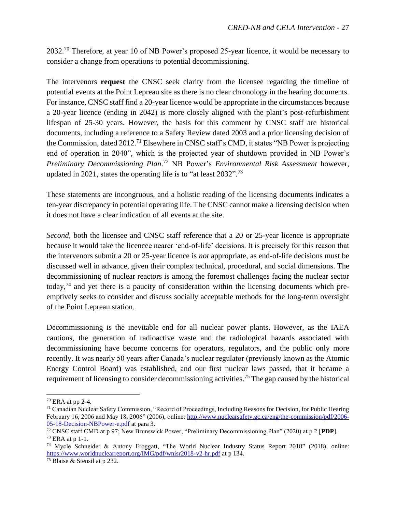2032.<sup>70</sup> Therefore, at year 10 of NB Power's proposed 25-year licence, it would be necessary to consider a change from operations to potential decommissioning.

The intervenors **request** the CNSC seek clarity from the licensee regarding the timeline of potential events at the Point Lepreau site as there is no clear chronology in the hearing documents. For instance, CNSC staff find a 20-year licence would be appropriate in the circumstances because a 20-year licence (ending in 2042) is more closely aligned with the plant's post-refurbishment lifespan of 25-30 years. However, the basis for this comment by CNSC staff are historical documents, including a reference to a Safety Review dated 2003 and a prior licensing decision of the Commission, dated  $2012$ .<sup>71</sup> Elsewhere in CNSC staff's CMD, it states "NB Power is projecting end of operation in 2040", which is the projected year of shutdown provided in NB Power's *Preliminary Decommissioning Plan*. <sup>72</sup> NB Power's *Environmental Risk Assessment* however, updated in 2021, states the operating life is to "at least  $2032$ ".<sup>73</sup>

These statements are incongruous, and a holistic reading of the licensing documents indicates a ten-year discrepancy in potential operating life. The CNSC cannot make a licensing decision when it does not have a clear indication of all events at the site.

*Second*, both the licensee and CNSC staff reference that a 20 or 25-year licence is appropriate because it would take the licencee nearer 'end-of-life' decisions. It is precisely for this reason that the intervenors submit a 20 or 25-year licence is *not* appropriate, as end-of-life decisions must be discussed well in advance, given their complex technical, procedural, and social dimensions. The decommissioning of nuclear reactors is among the foremost challenges facing the nuclear sector today,<sup>74</sup> and yet there is a paucity of consideration within the licensing documents which preemptively seeks to consider and discuss socially acceptable methods for the long-term oversight of the Point Lepreau station.

Decommissioning is the inevitable end for all nuclear power plants. However, as the IAEA cautions, the generation of radioactive waste and the radiological hazards associated with decommissioning have become concerns for operators, regulators, and the public only more recently. It was nearly 50 years after Canada's nuclear regulator (previously known as the Atomic Energy Control Board) was established, and our first nuclear laws passed, that it became a requirement of licensing to consider decommissioning activities.<sup>75</sup> The gap caused by the historical

<sup>70</sup> ERA at pp 2-4.

<sup>71</sup> Canadian Nuclear Safety Commission, "Record of Proceedings, Including Reasons for Decision, for Public Hearing February 16, 2006 and May 18, 2006" (2006), online: [http://www.nuclearsafety.gc.ca/eng/the-commission/pdf/2006-](http://www.nuclearsafety.gc.ca/eng/the-commission/pdf/2006-05-18-Decision-NBPower-e.pdf) [05-18-Decision-NBPower-e.pdf](http://www.nuclearsafety.gc.ca/eng/the-commission/pdf/2006-05-18-Decision-NBPower-e.pdf) at para 3.

<sup>72</sup> CNSC staff CMD at p 97; New Brunswick Power, "Preliminary Decommissioning Plan" (2020) at p 2 [**PDP**].  $73$  ERA at p 1-1.

<sup>74</sup> Mycle Schneider & Antony Froggatt, "The World Nuclear Industry Status Report 2018" (2018), online: <https://www.worldnuclearreport.org/IMG/pdf/wnisr2018-v2-hr.pdf> at p 134.

<sup>75</sup> Blaise & Stensil at p 232.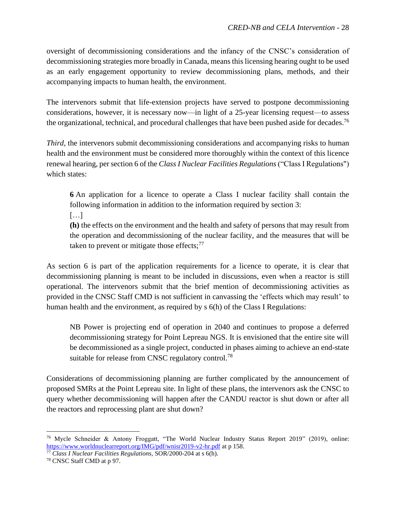oversight of decommissioning considerations and the infancy of the CNSC's consideration of decommissioning strategies more broadly in Canada, means this licensing hearing ought to be used as an early engagement opportunity to review decommissioning plans, methods, and their accompanying impacts to human health, the environment.

The intervenors submit that life-extension projects have served to postpone decommissioning considerations, however, it is necessary now––in light of a 25-year licensing request––to assess the organizational, technical, and procedural challenges that have been pushed aside for decades.<sup>76</sup>

*Third*, the intervenors submit decommissioning considerations and accompanying risks to human health and the environment must be considered more thoroughly within the context of this licence renewal hearing, per section 6 of the *Class I Nuclear Facilities Regulations* ("Class I Regulations") which states:

**6** An application for a licence to operate a Class I nuclear facility shall contain the following information in addition to the information required by section 3:

[…]

**(h)** the effects on the environment and the health and safety of persons that may result from the operation and decommissioning of the nuclear facility, and the measures that will be taken to prevent or mitigate those effects; $^{77}$ 

As section 6 is part of the application requirements for a licence to operate, it is clear that decommissioning planning is meant to be included in discussions, even when a reactor is still operational. The intervenors submit that the brief mention of decommissioning activities as provided in the CNSC Staff CMD is not sufficient in canvassing the 'effects which may result' to human health and the environment, as required by s 6(h) of the Class I Regulations:

NB Power is projecting end of operation in 2040 and continues to propose a deferred decommissioning strategy for Point Lepreau NGS. It is envisioned that the entire site will be decommissioned as a single project, conducted in phases aiming to achieve an end-state suitable for release from CNSC regulatory control.<sup>78</sup>

Considerations of decommissioning planning are further complicated by the announcement of proposed SMRs at the Point Lepreau site. In light of these plans, the intervenors ask the CNSC to query whether decommissioning will happen after the CANDU reactor is shut down or after all the reactors and reprocessing plant are shut down?

<sup>76</sup> Mycle Schneider & Antony Froggatt, "The World Nuclear Industry Status Report 2019" (2019), online: <https://www.worldnuclearreport.org/IMG/pdf/wnisr2019-v2-hr.pdf> at p 158.

<sup>77</sup> *Class I Nuclear Facilities Regulations,* SOR/2000-204 at s 6(h).

<sup>78</sup> CNSC Staff CMD at p 97.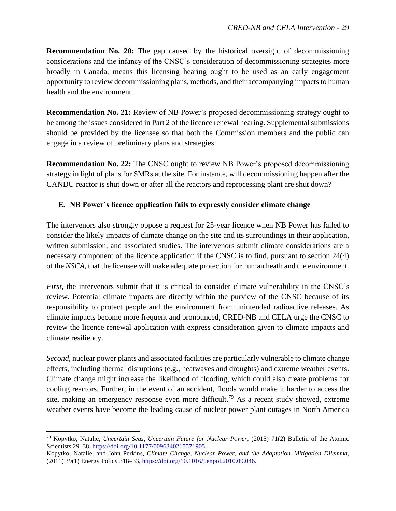**Recommendation No. 20:** The gap caused by the historical oversight of decommissioning considerations and the infancy of the CNSC's consideration of decommissioning strategies more broadly in Canada, means this licensing hearing ought to be used as an early engagement opportunity to review decommissioning plans, methods, and their accompanying impacts to human health and the environment.

**Recommendation No. 21:** Review of NB Power's proposed decommissioning strategy ought to be among the issues considered in Part 2 of the licence renewal hearing. Supplemental submissions should be provided by the licensee so that both the Commission members and the public can engage in a review of preliminary plans and strategies.

**Recommendation No. 22:** The CNSC ought to review NB Power's proposed decommissioning strategy in light of plans for SMRs at the site. For instance, will decommissioning happen after the CANDU reactor is shut down or after all the reactors and reprocessing plant are shut down?

### <span id="page-30-0"></span>**E. NB Power's licence application fails to expressly consider climate change**

The intervenors also strongly oppose a request for 25-year licence when NB Power has failed to consider the likely impacts of climate change on the site and its surroundings in their application, written submission, and associated studies. The intervenors submit climate considerations are a necessary component of the licence application if the CNSC is to find, pursuant to section 24(4) of the *NSCA,* that the licensee will make adequate protection for human heath and the environment.

*First*, the intervenors submit that it is critical to consider climate vulnerability in the CNSC's review. Potential climate impacts are directly within the purview of the CNSC because of its responsibility to protect people and the environment from unintended radioactive releases. As climate impacts become more frequent and pronounced, CRED-NB and CELA urge the CNSC to review the licence renewal application with express consideration given to climate impacts and climate resiliency.

*Second*, nuclear power plants and associated facilities are particularly vulnerable to climate change effects, including thermal disruptions (e.g., heatwaves and droughts) and extreme weather events. Climate change might increase the likelihood of flooding, which could also create problems for cooling reactors. Further, in the event of an accident, floods would make it harder to access the site, making an emergency response even more difficult.<sup>79</sup> As a recent study showed, extreme weather events have become the leading cause of nuclear power plant outages in North America

<sup>79</sup> Kopytko, Natalie, *Uncertain Seas, Uncertain Future for Nuclear Power,* (2015) 71(2) Bulletin of the Atomic Scientists 29–38, [https://doi.org/10.1177/0096340215571905.](https://doi.org/10.1177/0096340215571905)

Kopytko, Natalie, and John Perkins, *Climate Change, Nuclear Power, and the Adaptation–Mitigation Dilemma*, (2011) 39(1) Energy Policy 318–33, [https://doi.org/10.1016/j.enpol.2010.09.046.](https://doi.org/10.1016/j.enpol.2010.09.046)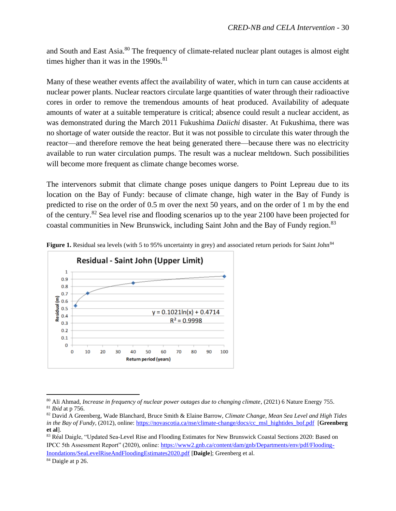and South and East Asia.<sup>80</sup> The frequency of climate-related nuclear plant outages is almost eight times higher than it was in the  $1990s$ .<sup>81</sup>

Many of these weather events affect the availability of water, which in turn can cause accidents at nuclear power plants. Nuclear reactors circulate large quantities of water through their radioactive cores in order to remove the tremendous amounts of heat produced. Availability of adequate amounts of water at a suitable temperature is critical; absence could result a nuclear accident, as was demonstrated during the March 2011 Fukushima *Daiichi* disaster. At Fukushima, there was no shortage of water outside the reactor. But it was not possible to circulate this water through the reactor—and therefore remove the heat being generated there—because there was no electricity available to run water circulation pumps. The result was a nuclear meltdown. Such possibilities will become more frequent as climate change becomes worse.

The intervenors submit that climate change poses unique dangers to Point Lepreau due to its location on the Bay of Fundy: because of climate change, high water in the Bay of Fundy is predicted to rise on the order of 0.5 m over the next 50 years, and on the order of 1 m by the end of the century.<sup>82</sup> Sea level rise and flooding scenarios up to the year 2100 have been projected for coastal communities in New Brunswick, including Saint John and the Bay of Fundy region.<sup>83</sup>



Figure 1. Residual sea levels (with 5 to 95% uncertainty in grey) and associated return periods for Saint John<sup>84</sup>

<sup>80</sup> Ali Ahmad, *Increase in frequency of nuclear power outages due to changing climate*, (2021) 6 Nature Energy 755. <sup>81</sup> *Ibid* at p 756.

<sup>82</sup> David A Greenberg, Wade Blanchard, Bruce Smith & Elaine Barrow, *Climate Change, Mean Sea Level and High Tides in the Bay of Fundy*, (2012), online[: https://novascotia.ca/nse/climate-change/docs/cc\\_msl\\_hightides\\_bof.pdf](https://novascotia.ca/nse/climate-change/docs/cc_msl_hightides_bof.pdf) [**Greenberg et al**].

<sup>83</sup> Réal Daigle, "Updated Sea-Level Rise and Flooding Estimates for New Brunswick Coastal Sections 2020: Based on IPCC 5th Assessment Report" (2020), online[: https://www2.gnb.ca/content/dam/gnb/Departments/env/pdf/Flooding-](https://www2.gnb.ca/content/dam/gnb/Departments/env/pdf/Flooding-Inondations/SeaLevelRiseAndFloodingEstimates2020.pdf)[Inondations/SeaLevelRiseAndFloodingEstimates2020.pdf](https://www2.gnb.ca/content/dam/gnb/Departments/env/pdf/Flooding-Inondations/SeaLevelRiseAndFloodingEstimates2020.pdf) [**Daigle**]; Greenberg et al.

<sup>&</sup>lt;sup>84</sup> Daigle at p 26.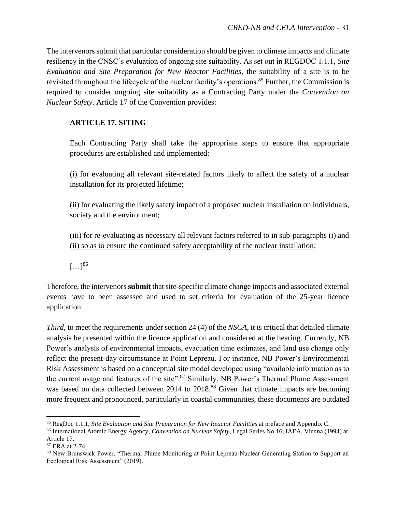The intervenors submit that particular consideration should be given to climate impacts and climate resiliency in the CNSC's evaluation of ongoing site suitability. As set out in REGDOC 1.1.1, *Site Evaluation and Site Preparation for New Reactor Facilities,* the suitability of a site is to be revisited throughout the lifecycle of the nuclear facility's operations.<sup>85</sup> Further, the Commission is required to consider ongoing site suitability as a Contracting Party under the *Convention on Nuclear Safety*. Article 17 of the Convention provides:

### **ARTICLE 17. SITING**

Each Contracting Party shall take the appropriate steps to ensure that appropriate procedures are established and implemented:

(i) for evaluating all relevant site-related factors likely to affect the safety of a nuclear installation for its projected lifetime;

(ii) for evaluating the likely safety impact of a proposed nuclear installation on individuals, society and the environment;

(iii) for re-evaluating as necessary all relevant factors referred to in sub-paragraphs (i) and (ii) so as to ensure the continued safety acceptability of the nuclear installation;

 $\left[\ldots\right]^{86}$ 

Therefore, the intervenors **submit** that site-specific climate change impacts and associated external events have to been assessed and used to set criteria for evaluation of the 25-year licence application.

*Third*, to meet the requirements under section 24 (4) of the *NSCA*, it is critical that detailed climate analysis be presented within the licence application and considered at the hearing. Currently, NB Power's analysis of environmental impacts, evacuation time estimates, and land use change only reflect the present-day circumstance at Point Lepreau. For instance, NB Power's Environmental Risk Assessment is based on a conceptual site model developed using "available information as to the current usage and features of the site".<sup>87</sup> Similarly, NB Power's Thermal Plume Assessment was based on data collected between 2014 to 2018.<sup>88</sup> Given that climate impacts are becoming more frequent and pronounced, particularly in coastal communities, these documents are outdated

<sup>85</sup> RegDoc 1.1.1, *Site Evaluation and Site Preparation for New Reactor Facilities* at preface and Appendix C.

<sup>86</sup> International Atomic Energy Agency, *Convention on Nuclear Safety*, Legal Series No 16, IAEA, Vienna (1994) at Article 17.

<sup>87</sup> ERA at 2-74.

<sup>88</sup> New Brunswick Power, "Thermal Plume Monitoring at Point Lepreau Nuclear Generating Station to Support an Ecological Risk Assessment" (2019).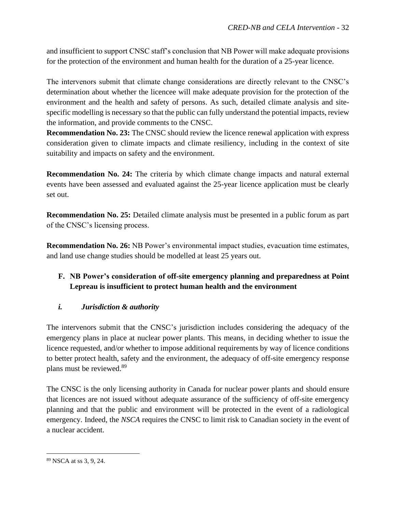and insufficient to support CNSC staff's conclusion that NB Power will make adequate provisions for the protection of the environment and human health for the duration of a 25-year licence.

The intervenors submit that climate change considerations are directly relevant to the CNSC's determination about whether the licencee will make adequate provision for the protection of the environment and the health and safety of persons. As such, detailed climate analysis and sitespecific modelling is necessary so that the public can fully understand the potential impacts, review the information, and provide comments to the CNSC.

**Recommendation No. 23:** The CNSC should review the licence renewal application with express consideration given to climate impacts and climate resiliency, including in the context of site suitability and impacts on safety and the environment.

**Recommendation No. 24:** The criteria by which climate change impacts and natural external events have been assessed and evaluated against the 25-year licence application must be clearly set out.

**Recommendation No. 25:** Detailed climate analysis must be presented in a public forum as part of the CNSC's licensing process.

**Recommendation No. 26:** NB Power's environmental impact studies, evacuation time estimates, and land use change studies should be modelled at least 25 years out.

# <span id="page-33-0"></span>**F. NB Power's consideration of off-site emergency planning and preparedness at Point Lepreau is insufficient to protect human health and the environment**

# <span id="page-33-1"></span>*i. Jurisdiction & authority*

The intervenors submit that the CNSC's jurisdiction includes considering the adequacy of the emergency plans in place at nuclear power plants. This means, in deciding whether to issue the licence requested, and/or whether to impose additional requirements by way of licence conditions to better protect health, safety and the environment, the adequacy of off-site emergency response plans must be reviewed. 89

The CNSC is the only licensing authority in Canada for nuclear power plants and should ensure that licences are not issued without adequate assurance of the sufficiency of off-site emergency planning and that the public and environment will be protected in the event of a radiological emergency. Indeed, the *NSCA* requires the CNSC to limit risk to Canadian society in the event of a nuclear accident.

<sup>89</sup> NSCA at ss 3, 9, 24.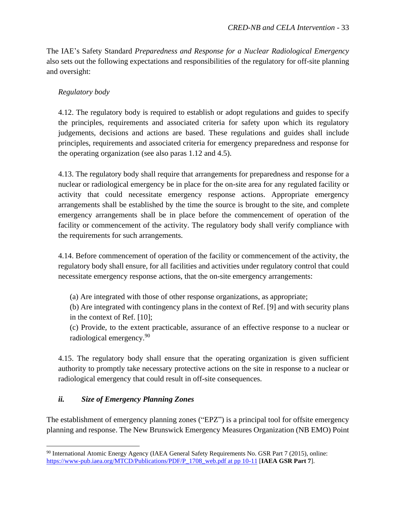The IAE's Safety Standard *Preparedness and Response for a Nuclear Radiological Emergency* also sets out the following expectations and responsibilities of the regulatory for off-site planning and oversight:

### *Regulatory body*

4.12. The regulatory body is required to establish or adopt regulations and guides to specify the principles, requirements and associated criteria for safety upon which its regulatory judgements, decisions and actions are based. These regulations and guides shall include principles, requirements and associated criteria for emergency preparedness and response for the operating organization (see also paras 1.12 and 4.5).

4.13. The regulatory body shall require that arrangements for preparedness and response for a nuclear or radiological emergency be in place for the on-site area for any regulated facility or activity that could necessitate emergency response actions. Appropriate emergency arrangements shall be established by the time the source is brought to the site, and complete emergency arrangements shall be in place before the commencement of operation of the facility or commencement of the activity. The regulatory body shall verify compliance with the requirements for such arrangements.

4.14. Before commencement of operation of the facility or commencement of the activity, the regulatory body shall ensure, for all facilities and activities under regulatory control that could necessitate emergency response actions, that the on-site emergency arrangements:

(a) Are integrated with those of other response organizations, as appropriate;

(b) Are integrated with contingency plans in the context of Ref. [9] and with security plans in the context of Ref. [10];

(c) Provide, to the extent practicable, assurance of an effective response to a nuclear or radiological emergency.<sup>90</sup>

4.15. The regulatory body shall ensure that the operating organization is given sufficient authority to promptly take necessary protective actions on the site in response to a nuclear or radiological emergency that could result in off-site consequences.

### <span id="page-34-0"></span>*ii. Size of Emergency Planning Zones*

The establishment of emergency planning zones ("EPZ") is a principal tool for offsite emergency planning and response. The New Brunswick Emergency Measures Organization (NB EMO) Point

<sup>90</sup> International Atomic Energy Agency (IAEA General Safety Requirements No. GSR Part 7 (2015), online: [https://www-pub.iaea.org/MTCD/Publications/PDF/P\\_1708\\_web.pdf at pp 10-11](https://www-pub.iaea.org/MTCD/Publications/PDF/P_1708_web.pdf%20at%20pp%2010-11) [**IAEA GSR Part 7**].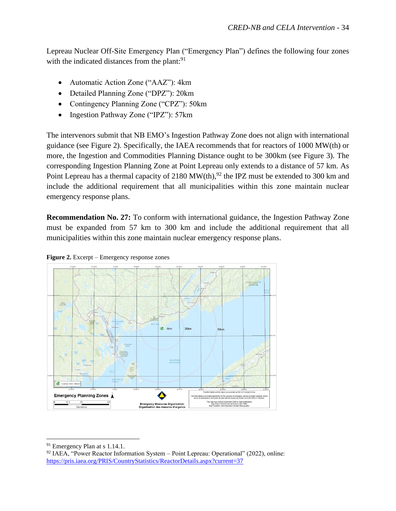Lepreau Nuclear Off-Site Emergency Plan ("Emergency Plan") defines the following four zones with the indicated distances from the plant:<sup>91</sup>

- Automatic Action Zone ("AAZ"): 4km
- Detailed Planning Zone ("DPZ"): 20km
- Contingency Planning Zone ("CPZ"): 50km
- Ingestion Pathway Zone ("IPZ"): 57km

The intervenors submit that NB EMO's Ingestion Pathway Zone does not align with international guidance (see Figure 2). Specifically, the IAEA recommends that for reactors of 1000 MW(th) or more, the Ingestion and Commodities Planning Distance ought to be 300km (see Figure 3). The corresponding Ingestion Planning Zone at Point Lepreau only extends to a distance of 57 km. As Point Lepreau has a thermal capacity of 2180 MW(th),<sup>92</sup> the IPZ must be extended to 300 km and include the additional requirement that all municipalities within this zone maintain nuclear emergency response plans.

**Recommendation No. 27:** To conform with international guidance, the Ingestion Pathway Zone must be expanded from 57 km to 300 km and include the additional requirement that all municipalities within this zone maintain nuclear emergency response plans.





<sup>91</sup> Emergency Plan at s 1.14.1.

 $92$  IAEA, "Power Reactor Information System – Point Lepreau: Operational" (2022), online: <https://pris.iaea.org/PRIS/CountryStatistics/ReactorDetails.aspx?current=37>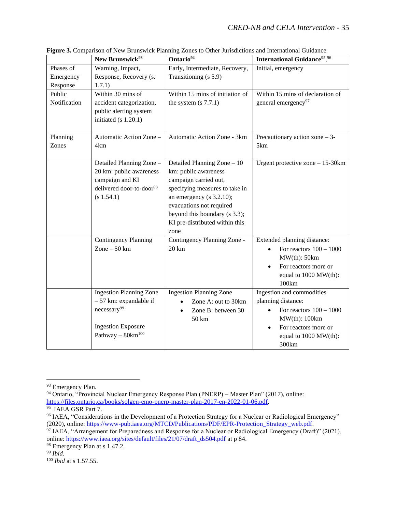|              | New Brunswick <sup>93</sup>                  | Ontario <sup>94</sup>                | <b>International Guidance</b> 95,96           |
|--------------|----------------------------------------------|--------------------------------------|-----------------------------------------------|
| Phases of    | Warning, Impact,                             | Early, Intermediate, Recovery,       | Initial, emergency                            |
| Emergency    | Response, Recovery (s.                       | Transitioning (s 5.9)                |                                               |
| Response     | 1.7.1)                                       |                                      |                                               |
| Public       | Within 30 mins of                            | Within 15 mins of initiation of      | Within 15 mins of declaration of              |
| Notification | accident categorization,                     | the system $(s 7.7.1)$               | general emergency <sup>97</sup>               |
|              | public alerting system                       |                                      |                                               |
|              | initiated $(s 1.20.1)$                       |                                      |                                               |
|              |                                              |                                      |                                               |
| Planning     | Automatic Action Zone -                      | Automatic Action Zone - 3km          | Precautionary action zone $-3$ -              |
| Zones        | 4km                                          |                                      | 5km                                           |
|              | Detailed Planning Zone -                     | Detailed Planning Zone - 10          | Urgent protective zone $-15-30km$             |
|              | 20 km: public awareness                      | km: public awareness                 |                                               |
|              | campaign and KI                              | campaign carried out,                |                                               |
|              | delivered door-to-door <sup>98</sup>         | specifying measures to take in       |                                               |
|              | (s 1.54.1)                                   | an emergency ( $s$ 3.2.10);          |                                               |
|              |                                              | evacuations not required             |                                               |
|              |                                              | beyond this boundary (s 3.3);        |                                               |
|              |                                              | KI pre-distributed within this       |                                               |
|              |                                              | zone                                 |                                               |
|              | <b>Contingency Planning</b><br>Zone $-50$ km | Contingency Planning Zone -<br>20 km | Extended planning distance:                   |
|              |                                              |                                      | For reactors $100 - 1000$<br>MW(th): 50km     |
|              |                                              |                                      |                                               |
|              |                                              |                                      | For reactors more or<br>equal to 1000 MW(th): |
|              |                                              |                                      | 100km                                         |
|              | <b>Ingestion Planning Zone</b>               | <b>Ingestion Planning Zone</b>       | Ingestion and commodities                     |
|              | $-57$ km: expandable if                      | Zone A: out to 30km                  | planning distance:                            |
|              | necessary <sup>99</sup>                      | Zone B: between 30 -<br>$\bullet$    | For reactors $100 - 1000$                     |
|              |                                              | 50 km                                | MW(th): 100km                                 |
|              | <b>Ingestion Exposure</b>                    |                                      | For reactors more or                          |
|              | Pathway $-$ 80 $km^{100}$                    |                                      | equal to 1000 MW(th):                         |
|              |                                              |                                      | 300km                                         |

**Figure 3.** Comparison of New Brunswick Planning Zones to Other Jurisdictions and International Guidance

<sup>93</sup> Emergency Plan.

<sup>94</sup> Ontario, "Provincial Nuclear Emergency Response Plan (PNERP) – Master Plan" (2017), online: [https://files.ontario.ca/books/solgen-emo-pnerp-master-plan-2017-en-2022-01-06.pdf.](https://files.ontario.ca/books/solgen-emo-pnerp-master-plan-2017-en-2022-01-06.pdf) 95 IAEA GSR Part 7.

<sup>96</sup> IAEA, "Considerations in the Development of a Protection Strategy for a Nuclear or Radiological Emergency" (2020), online: [https://www-pub.iaea.org/MTCD/Publications/PDF/EPR-Protection\\_Strategy\\_web.pdf.](https://www-pub.iaea.org/MTCD/Publications/PDF/EPR-Protection_Strategy_web.pdf)

<sup>97</sup> IAEA, "Arrangement for Preparedness and Response for a Nuclear or Radiological Emergency (Draft)" (2021), online: [https://www.iaea.org/sites/default/files/21/07/draft\\_ds504.pdf](https://www.iaea.org/sites/default/files/21/07/draft_ds504.pdf) at p 84.

<sup>98</sup> Emergency Plan at s 1.47.2.

<sup>99</sup> *Ibid.*

<sup>100</sup> *Ibid* at s 1.57.55.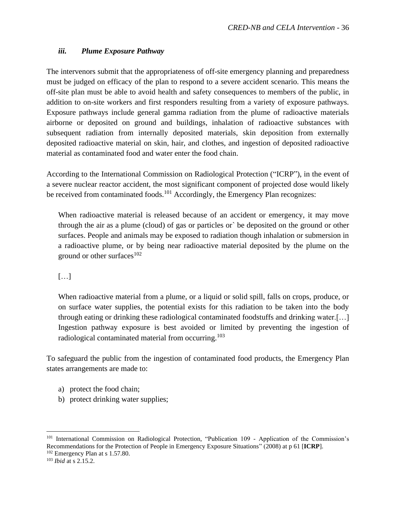### <span id="page-37-0"></span>*iii. Plume Exposure Pathway*

The intervenors submit that the appropriateness of off-site emergency planning and preparedness must be judged on efficacy of the plan to respond to a severe accident scenario. This means the off-site plan must be able to avoid health and safety consequences to members of the public, in addition to on-site workers and first responders resulting from a variety of exposure pathways. Exposure pathways include general gamma radiation from the plume of radioactive materials airborne or deposited on ground and buildings, inhalation of radioactive substances with subsequent radiation from internally deposited materials, skin deposition from externally deposited radioactive material on skin, hair, and clothes, and ingestion of deposited radioactive material as contaminated food and water enter the food chain.

According to the International Commission on Radiological Protection ("ICRP"), in the event of a severe nuclear reactor accident, the most significant component of projected dose would likely be received from contaminated foods.<sup>101</sup> Accordingly, the Emergency Plan recognizes:

When radioactive material is released because of an accident or emergency, it may move through the air as a plume (cloud) of gas or particles or` be deposited on the ground or other surfaces. People and animals may be exposed to radiation though inhalation or submersion in a radioactive plume, or by being near radioactive material deposited by the plume on the ground or other surfaces $102$ 

### […]

When radioactive material from a plume, or a liquid or solid spill, falls on crops, produce, or on surface water supplies, the potential exists for this radiation to be taken into the body through eating or drinking these radiological contaminated foodstuffs and drinking water.[…] Ingestion pathway exposure is best avoided or limited by preventing the ingestion of radiological contaminated material from occurring.<sup>103</sup>

To safeguard the public from the ingestion of contaminated food products, the Emergency Plan states arrangements are made to:

- a) protect the food chain;
- b) protect drinking water supplies;

<sup>101</sup> International Commission on Radiological Protection, "Publication 109 - Application of the Commission's Recommendations for the Protection of People in Emergency Exposure Situations" (2008) at p 61 [**ICRP**].

<sup>102</sup> Emergency Plan at s 1.57.80.

<sup>103</sup> *Ibid* at s 2.15.2.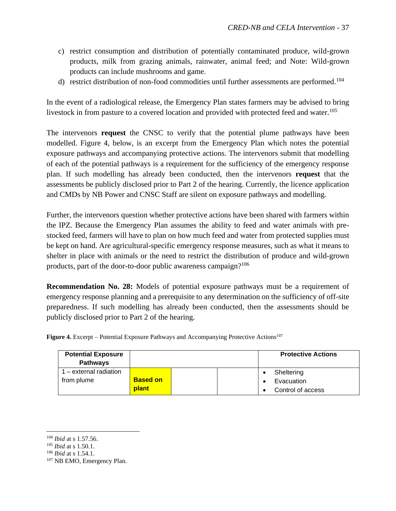- c) restrict consumption and distribution of potentially contaminated produce, wild-grown products, milk from grazing animals, rainwater, animal feed; and Note: Wild-grown products can include mushrooms and game.
- d) restrict distribution of non-food commodities until further assessments are performed.<sup>104</sup>

In the event of a radiological release, the Emergency Plan states farmers may be advised to bring livestock in from pasture to a covered location and provided with protected feed and water.<sup>105</sup>

The intervenors **request** the CNSC to verify that the potential plume pathways have been modelled. Figure 4, below, is an excerpt from the Emergency Plan which notes the potential exposure pathways and accompanying protective actions. The intervenors submit that modelling of each of the potential pathways is a requirement for the sufficiency of the emergency response plan. If such modelling has already been conducted, then the intervenors **request** that the assessments be publicly disclosed prior to Part 2 of the hearing. Currently, the licence application and CMDs by NB Power and CNSC Staff are silent on exposure pathways and modelling.

Further, the intervenors question whether protective actions have been shared with farmers within the IPZ. Because the Emergency Plan assumes the ability to feed and water animals with prestocked feed, farmers will have to plan on how much feed and water from protected supplies must be kept on hand. Are agricultural-specific emergency response measures, such as what it means to shelter in place with animals or the need to restrict the distribution of produce and wild-grown products, part of the door-to-door public awareness campaign?<sup>106</sup>

**Recommendation No. 28:** Models of potential exposure pathways must be a requirement of emergency response planning and a prerequisite to any determination on the sufficiency of off-site preparedness. If such modelling has already been conducted, then the assessments should be publicly disclosed prior to Part 2 of the hearing.

| <b>Potential Exposure</b><br><b>Pathways</b> |                 |  | <b>Protective Actions</b> |
|----------------------------------------------|-----------------|--|---------------------------|
| 1 – external radiation                       |                 |  | Sheltering                |
| from plume                                   | <b>Based on</b> |  | Evacuation                |
|                                              | <b>plant</b>    |  | Control of access         |

**Figure 4.** Excerpt – Potential Exposure Pathways and Accompanying Protective Actions<sup>107</sup>

<sup>104</sup> *Ibid* at s 1.57.56.

<sup>105</sup> *Ibid* at s 1.50.1.

<sup>106</sup> *Ibid* at s 1.54.1.

<sup>107</sup> NB EMO, Emergency Plan.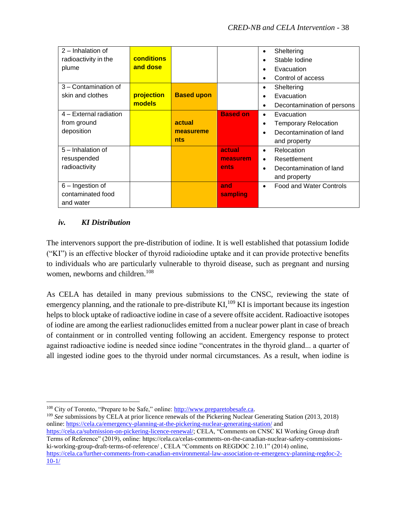| $2$ – Inhalation of    |            |                   |                 | Sheltering<br>$\bullet$                     |
|------------------------|------------|-------------------|-----------------|---------------------------------------------|
| radioactivity in the   | conditions |                   |                 | Stable Iodine                               |
| plume                  | and dose   |                   |                 | Evacuation                                  |
|                        |            |                   |                 | Control of access                           |
| 3 - Contamination of   |            |                   |                 | Sheltering<br>$\bullet$                     |
| skin and clothes       | projection | <b>Based upon</b> |                 | Evacuation                                  |
|                        | models     |                   |                 | Decontamination of persons<br>٠             |
| 4 - External radiation |            |                   | <b>Based on</b> | Evacuation<br>$\bullet$                     |
| from ground            |            | actual            |                 | Temporary Relocation                        |
| deposition             |            | measureme         |                 | Decontamination of land                     |
|                        |            | <b>nts</b>        |                 | and property                                |
| 5 - Inhalation of      |            |                   | actual          | Relocation<br>$\bullet$                     |
| resuspended            |            |                   | measurem        | Resettlement<br>$\bullet$                   |
| radioactivity          |            |                   | ents            | Decontamination of land<br>$\bullet$        |
|                        |            |                   |                 | and property                                |
| 6 – Ingestion of       |            |                   | and             | <b>Food and Water Controls</b><br>$\bullet$ |
| contaminated food      |            |                   | sampling        |                                             |
| and water              |            |                   |                 |                                             |

### *iv. KI Distribution*

The intervenors support the pre-distribution of iodine. It is well established that potassium Iodide ("KI") is an effective blocker of thyroid radioiodine uptake and it can provide protective benefits to individuals who are particularly vulnerable to thyroid disease, such as pregnant and nursing women, newborns and children.<sup>108</sup>

As CELA has detailed in many previous submissions to the CNSC, reviewing the state of emergency planning, and the rationale to pre-distribute  $KI$ ,  $^{109}$  KI is important because its ingestion helps to block uptake of radioactive iodine in case of a severe offsite accident. Radioactive isotopes of iodine are among the earliest radionuclides emitted from a nuclear power plant in case of breach of containment or in controlled venting following an accident. Emergency response to protect against radioactive iodine is needed since iodine "concentrates in the thyroid gland... a quarter of all ingested iodine goes to the thyroid under normal circumstances. As a result, when iodine is

<sup>109</sup> *See* submissions by CELA at prior licence renewals of the Pickering Nuclear Generating Station (2013, 2018) online:<https://cela.ca/emergency-planning-at-the-pickering-nuclear-generating-station/> and

[https://cela.ca/submission-on-pickering-licence-renewal/;](https://cela.ca/submission-on-pickering-licence-renewal/) CELA, "Comments on CNSC KI Working Group draft Terms of Reference" (2019), online: https://cela.ca/celas-comments-on-the-canadian-nuclear-safety-commissionski-working-group-draft-terms-of-reference/ , CELA "Comments on REGDOC 2.10.1" (2014) online,

<sup>108</sup> City of Toronto, "Prepare to be Safe," online: [http://www.preparetobesafe.ca.](http://www.preparetobesafe.ca/)

[https://cela.ca/further-comments-from-canadian-environmental-law-association-re-emergency-planning-regdoc-2-](https://cela.ca/further-comments-from-canadian-environmental-law-association-re-emergency-planning-regdoc-2-10-1/) [10-1/](https://cela.ca/further-comments-from-canadian-environmental-law-association-re-emergency-planning-regdoc-2-10-1/)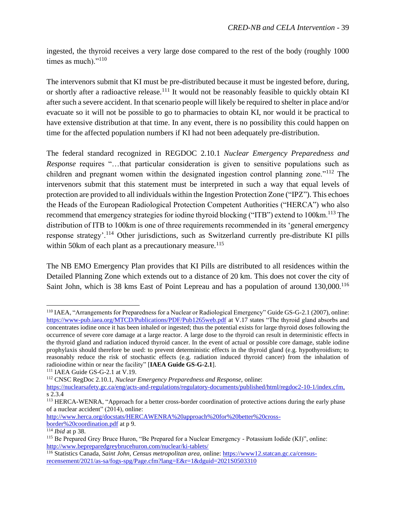ingested, the thyroid receives a very large dose compared to the rest of the body (roughly 1000 times as much)."<sup>110</sup>

The intervenors submit that KI must be pre-distributed because it must be ingested before, during, or shortly after a radioactive release.<sup>111</sup> It would not be reasonably feasible to quickly obtain KI after such a severe accident. In that scenario people will likely be required to shelter in place and/or evacuate so it will not be possible to go to pharmacies to obtain KI, nor would it be practical to have extensive distribution at that time. In any event, there is no possibility this could happen on time for the affected population numbers if KI had not been adequately pre-distribution.

The federal standard recognized in REGDOC 2.10.1 *Nuclear Emergency Preparedness and Response* requires "...that particular consideration is given to sensitive populations such as children and pregnant women within the designated ingestion control planning zone."<sup>112</sup> The intervenors submit that this statement must be interpreted in such a way that equal levels of protection are provided to all individuals within the Ingestion Protection Zone ("IPZ"). This echoes the Heads of the European Radiological Protection Competent Authorities ("HERCA") who also recommend that emergency strategies for iodine thyroid blocking ("ITB") extend to 100km.<sup>113</sup> The distribution of ITB to 100km is one of three requirements recommended in its 'general emergency response strategy'.<sup>114</sup> Other jurisdictions, such as Switzerland currently pre-distribute KI pills within 50km of each plant as a precautionary measure.<sup>115</sup>

The NB EMO Emergency Plan provides that KI Pills are distributed to all residences within the Detailed Planning Zone which extends out to a distance of 20 km. This does not cover the city of Saint John, which is 38 kms East of Point Lepreau and has a population of around 130,000.<sup>116</sup>

[http://www.herca.org/docstats/HERCAWENRA%20approach%20for%20better%20cross](http://www.herca.org/docstats/HERCAWENRA%20approach%20for%20better%20cross-border%20coordination.pdf)[border%20coordination.pdf](http://www.herca.org/docstats/HERCAWENRA%20approach%20for%20better%20cross-border%20coordination.pdf) at p 9.

<sup>110</sup> IAEA, "Arrangements for Preparedness for a Nuclear or Radiological Emergency" Guide GS-G-2.1 (2007), online: <https://www-pub.iaea.org/MTCD/Publications/PDF/Pub1265web.pdf> at V.17 states "The thyroid gland absorbs and concentrates iodine once it has been inhaled or ingested; thus the potential exists for large thyroid doses following the occurrence of severe core damage at a large reactor. A large dose to the thyroid can result in deterministic effects in the thyroid gland and radiation induced thyroid cancer. In the event of actual or possible core damage, stable iodine prophylaxis should therefore be used: to prevent deterministic effects in the thyroid gland (e.g. hypothyroidism; to reasonably reduce the risk of stochastic effects (e.g. radiation induced thyroid cancer) from the inhalation of radioiodine within or near the facility" [**IAEA Guide GS-G-2.1**].

<sup>111</sup> IAEA Guide GS-G-2.1 at V.19.

<sup>112</sup> CNSC RegDoc 2.10.1, *Nuclear Emergency Preparedness and Response,* online:

[https://nuclearsafety.gc.ca/eng/acts-and-regulations/regulatory-documents/published/html/regdoc2-10-1/index.cfm,](https://nuclearsafety.gc.ca/eng/acts-and-regulations/regulatory-documents/published/html/regdoc2-10-1/index.cfm) s 2.3.4

<sup>113</sup> HERCA-WENRA, "Approach for a better cross-border coordination of protective actions during the early phase of a nuclear accident" (2014), online:

<sup>114</sup> *Ibid* at p 38.

<sup>&</sup>lt;sup>115</sup> Be Prepared Grey Bruce Huron, "Be Prepared for a Nuclear Emergency - Potassium Iodide (KI)", online: <http://www.bepreparedgreybrucehuron.com/nuclear/ki-tablets/>

<sup>116</sup> Statistics Canada, *Saint John, Census metropolitan area,* online[: https://www12.statcan.gc.ca/census](https://www12.statcan.gc.ca/census-recensement/2021/as-sa/fogs-spg/Page.cfm?lang=E&r=1&dguid=2021S0503310)[recensement/2021/as-sa/fogs-spg/Page.cfm?lang=E&r=1&dguid=2021S0503310](https://www12.statcan.gc.ca/census-recensement/2021/as-sa/fogs-spg/Page.cfm?lang=E&r=1&dguid=2021S0503310)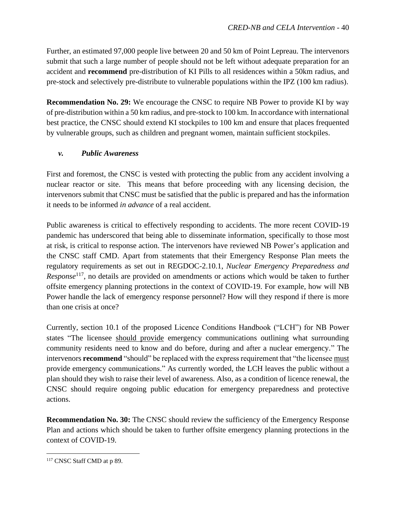Further, an estimated 97,000 people live between 20 and 50 km of Point Lepreau. The intervenors submit that such a large number of people should not be left without adequate preparation for an accident and **recommend** pre-distribution of KI Pills to all residences within a 50km radius, and pre-stock and selectively pre-distribute to vulnerable populations within the IPZ (100 km radius).

**Recommendation No. 29:** We encourage the CNSC to require NB Power to provide KI by way of pre-distribution within a 50 km radius, and pre-stock to 100 km. In accordance with international best practice, the CNSC should extend KI stockpiles to 100 km and ensure that places frequented by vulnerable groups, such as children and pregnant women, maintain sufficient stockpiles.

### <span id="page-41-0"></span>*v. Public Awareness*

First and foremost, the CNSC is vested with protecting the public from any accident involving a nuclear reactor or site. This means that before proceeding with any licensing decision, the intervenors submit that CNSC must be satisfied that the public is prepared and has the information it needs to be informed *in advance* of a real accident.

Public awareness is critical to effectively responding to accidents. The more recent COVID-19 pandemic has underscored that being able to disseminate information, specifically to those most at risk, is critical to response action. The intervenors have reviewed NB Power's application and the CNSC staff CMD. Apart from statements that their Emergency Response Plan meets the regulatory requirements as set out in REGDOC-2.10.1, *Nuclear Emergency Preparedness and Response*<sup>117</sup> , no details are provided on amendments or actions which would be taken to further offsite emergency planning protections in the context of COVID-19. For example, how will NB Power handle the lack of emergency response personnel? How will they respond if there is more than one crisis at once?

Currently, section 10.1 of the proposed Licence Conditions Handbook ("LCH") for NB Power states "The licensee should provide emergency communications outlining what surrounding community residents need to know and do before, during and after a nuclear emergency." The intervenors **recommend** "should" be replaced with the express requirement that "the licensee must provide emergency communications." As currently worded, the LCH leaves the public without a plan should they wish to raise their level of awareness. Also, as a condition of licence renewal, the CNSC should require ongoing public education for emergency preparedness and protective actions.

**Recommendation No. 30:** The CNSC should review the sufficiency of the Emergency Response Plan and actions which should be taken to further offsite emergency planning protections in the context of COVID-19.

<sup>117</sup> CNSC Staff CMD at p 89.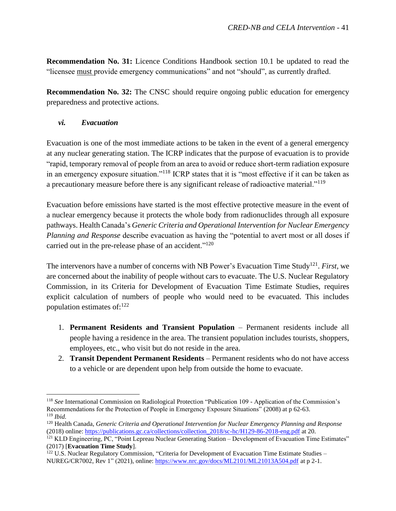**Recommendation No. 31:** Licence Conditions Handbook section 10.1 be updated to read the "licensee must provide emergency communications" and not "should", as currently drafted.

**Recommendation No. 32:** The CNSC should require ongoing public education for emergency preparedness and protective actions.

### <span id="page-42-0"></span>*vi. Evacuation*

Evacuation is one of the most immediate actions to be taken in the event of a general emergency at any nuclear generating station. The ICRP indicates that the purpose of evacuation is to provide "rapid, temporary removal of people from an area to avoid or reduce short-term radiation exposure in an emergency exposure situation."<sup>118</sup> ICRP states that it is "most effective if it can be taken as a precautionary measure before there is any significant release of radioactive material."<sup>119</sup>

Evacuation before emissions have started is the most effective protective measure in the event of a nuclear emergency because it protects the whole body from radionuclides through all exposure pathways. Health Canada's *Generic Criteria and Operational Intervention for Nuclear Emergency Planning and Response* describe evacuation as having the "potential to avert most or all doses if carried out in the pre-release phase of an accident."<sup>120</sup>

The intervenors have a number of concerns with NB Power's Evacuation Time Study<sup>121</sup>. *First*, we are concerned about the inability of people without cars to evacuate. The U.S. Nuclear Regulatory Commission, in its Criteria for Development of Evacuation Time Estimate Studies, requires explicit calculation of numbers of people who would need to be evacuated. This includes population estimates of:<sup>122</sup>

- 1. **Permanent Residents and Transient Population** Permanent residents include all people having a residence in the area. The transient population includes tourists, shoppers, employees, etc., who visit but do not reside in the area.
- 2. **Transit Dependent Permanent Residents** Permanent residents who do not have access to a vehicle or are dependent upon help from outside the home to evacuate.

<sup>118</sup> *See* International Commission on Radiological Protection "Publication 109 - Application of the Commission's Recommendations for the Protection of People in Emergency Exposure Situations" (2008) at p 62-63. <sup>119</sup> *Ibid.*

<sup>120</sup> Health Canada, *Generic Criteria and Operational Intervention for Nuclear Emergency Planning and Response* (2018) online: [https://publications.gc.ca/collections/collection\\_2018/sc-hc/H129-86-2018-eng.pdf](https://publications.gc.ca/collections/collection_2018/sc-hc/H129-86-2018-eng.pdf) at 20.

<sup>&</sup>lt;sup>121</sup> KLD Engineering, PC, "Point Lepreau Nuclear Generating Station – Development of Evacuation Time Estimates" (2017) [**Evacuation Time Study**].

 $122$  U.S. Nuclear Regulatory Commission, "Criteria for Development of Evacuation Time Estimate Studies – NUREG/CR7002, Rev 1" (2021), online:<https://www.nrc.gov/docs/ML2101/ML21013A504.pdf> at p 2-1.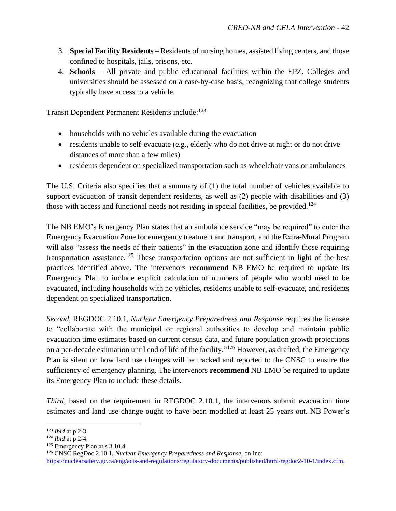- 3. **Special Facility Residents** Residents of nursing homes, assisted living centers, and those confined to hospitals, jails, prisons, etc.
- 4. **Schools** All private and public educational facilities within the EPZ. Colleges and universities should be assessed on a case-by-case basis, recognizing that college students typically have access to a vehicle.

Transit Dependent Permanent Residents include:<sup>123</sup>

- households with no vehicles available during the evacuation
- residents unable to self-evacuate (e.g., elderly who do not drive at night or do not drive distances of more than a few miles)
- residents dependent on specialized transportation such as wheelchair vans or ambulances

The U.S. Criteria also specifies that a summary of (1) the total number of vehicles available to support evacuation of transit dependent residents, as well as (2) people with disabilities and (3) those with access and functional needs not residing in special facilities, be provided.<sup>124</sup>

The NB EMO's Emergency Plan states that an ambulance service "may be required" to enter the Emergency Evacuation Zone for emergency treatment and transport, and the Extra-Mural Program will also "assess the needs of their patients" in the evacuation zone and identify those requiring transportation assistance.<sup>125</sup> These transportation options are not sufficient in light of the best practices identified above. The intervenors **recommend** NB EMO be required to update its Emergency Plan to include explicit calculation of numbers of people who would need to be evacuated, including households with no vehicles, residents unable to self-evacuate, and residents dependent on specialized transportation.

*Second,* REGDOC 2.10.1, *Nuclear Emergency Preparedness and Response* requires the licensee to "collaborate with the municipal or regional authorities to develop and maintain public evacuation time estimates based on current census data, and future population growth projections on a per-decade estimation until end of life of the facility."<sup>126</sup> However, as drafted, the Emergency Plan is silent on how land use changes will be tracked and reported to the CNSC to ensure the sufficiency of emergency planning. The intervenors **recommend** NB EMO be required to update its Emergency Plan to include these details.

*Third*, based on the requirement in REGDOC 2.10.1, the intervenors submit evacuation time estimates and land use change ought to have been modelled at least 25 years out. NB Power's

<sup>123</sup> *Ibid* at p 2-3.

<sup>124</sup> *Ibid* at p 2-4.

<sup>125</sup> Emergency Plan at s 3.10.4.

<sup>126</sup> CNSC RegDoc 2.10.1, *Nuclear Emergency Preparedness and Response,* online:

[https://nuclearsafety.gc.ca/eng/acts-and-regulations/regulatory-documents/published/html/regdoc2-10-1/index.cfm.](https://nuclearsafety.gc.ca/eng/acts-and-regulations/regulatory-documents/published/html/regdoc2-10-1/index.cfm)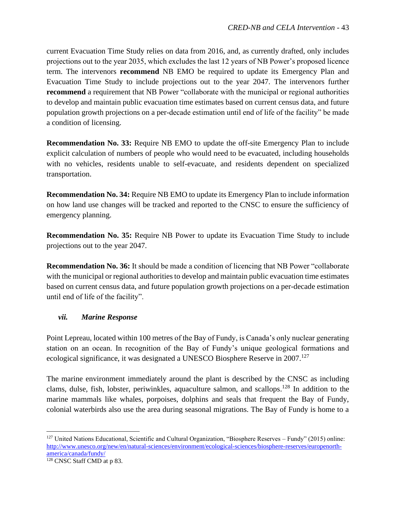current Evacuation Time Study relies on data from 2016, and, as currently drafted, only includes projections out to the year 2035, which excludes the last 12 years of NB Power's proposed licence term. The intervenors **recommend** NB EMO be required to update its Emergency Plan and Evacuation Time Study to include projections out to the year 2047. The intervenors further **recommend** a requirement that NB Power "collaborate with the municipal or regional authorities to develop and maintain public evacuation time estimates based on current census data, and future population growth projections on a per-decade estimation until end of life of the facility" be made a condition of licensing.

**Recommendation No. 33:** Require NB EMO to update the off-site Emergency Plan to include explicit calculation of numbers of people who would need to be evacuated, including households with no vehicles, residents unable to self-evacuate, and residents dependent on specialized transportation.

**Recommendation No. 34:** Require NB EMO to update its Emergency Plan to include information on how land use changes will be tracked and reported to the CNSC to ensure the sufficiency of emergency planning.

**Recommendation No. 35:** Require NB Power to update its Evacuation Time Study to include projections out to the year 2047.

**Recommendation No. 36:** It should be made a condition of licencing that NB Power "collaborate with the municipal or regional authorities to develop and maintain public evacuation time estimates based on current census data, and future population growth projections on a per-decade estimation until end of life of the facility".

### <span id="page-44-0"></span>*vii. Marine Response*

Point Lepreau, located within 100 metres of the Bay of Fundy, is Canada's only nuclear generating station on an ocean. In recognition of the Bay of Fundy's unique geological formations and ecological significance, it was designated a UNESCO Biosphere Reserve in 2007.<sup>127</sup>

The marine environment immediately around the plant is described by the CNSC as including clams, dulse, fish, lobster, periwinkles, aquaculture salmon, and scallops.<sup>128</sup> In addition to the marine mammals like whales, porpoises, dolphins and seals that frequent the Bay of Fundy, colonial waterbirds also use the area during seasonal migrations. The Bay of Fundy is home to a

 $127$  United Nations Educational, Scientific and Cultural Organization, "Biosphere Reserves – Fundy" (2015) online: [http://www.unesco.org/new/en/natural-sciences/environment/ecological-sciences/biosphere-reserves/europenorth](http://www.unesco.org/new/en/natural-sciences/environment/ecological-sciences/biosphere-reserves/europenorth-america/canada/fundy/)[america/canada/fundy/](http://www.unesco.org/new/en/natural-sciences/environment/ecological-sciences/biosphere-reserves/europenorth-america/canada/fundy/)

<sup>128</sup> CNSC Staff CMD at p 83.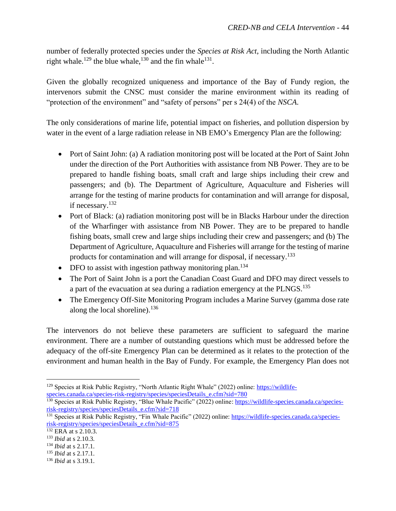number of federally protected species under the *Species at Risk Act*, including the North Atlantic right whale.<sup>129</sup> the blue whale,<sup>130</sup> and the fin whale<sup>131</sup>.

Given the globally recognized uniqueness and importance of the Bay of Fundy region, the intervenors submit the CNSC must consider the marine environment within its reading of "protection of the environment" and "safety of persons" per s 24(4) of the *NSCA*.

The only considerations of marine life, potential impact on fisheries, and pollution dispersion by water in the event of a large radiation release in NB EMO's Emergency Plan are the following:

- Port of Saint John: (a) A radiation monitoring post will be located at the Port of Saint John under the direction of the Port Authorities with assistance from NB Power. They are to be prepared to handle fishing boats, small craft and large ships including their crew and passengers; and (b). The Department of Agriculture, Aquaculture and Fisheries will arrange for the testing of marine products for contamination and will arrange for disposal, if necessary.<sup>132</sup>
- Port of Black: (a) radiation monitoring post will be in Blacks Harbour under the direction of the Wharfinger with assistance from NB Power. They are to be prepared to handle fishing boats, small crew and large ships including their crew and passengers; and (b) The Department of Agriculture, Aquaculture and Fisheries will arrange for the testing of marine products for contamination and will arrange for disposal, if necessary.<sup>133</sup>
- DFO to assist with ingestion pathway monitoring plan.<sup>134</sup>
- The Port of Saint John is a port the Canadian Coast Guard and DFO may direct vessels to a part of the evacuation at sea during a radiation emergency at the PLNGS.<sup>135</sup>
- The Emergency Off-Site Monitoring Program includes a Marine Survey (gamma dose rate along the local shoreline). $136$

The intervenors do not believe these parameters are sufficient to safeguard the marine environment. There are a number of outstanding questions which must be addressed before the adequacy of the off-site Emergency Plan can be determined as it relates to the protection of the environment and human health in the Bay of Fundy. For example, the Emergency Plan does not

<sup>&</sup>lt;sup>129</sup> Species at Risk Public Registry, "North Atlantic Right Whale" (2022) online: [https://wildlife](https://wildlife-species.canada.ca/species-risk-registry/species/speciesDetails_e.cfm?sid=780)[species.canada.ca/species-risk-registry/species/speciesDetails\\_e.cfm?sid=780](https://wildlife-species.canada.ca/species-risk-registry/species/speciesDetails_e.cfm?sid=780)

<sup>&</sup>lt;sup>130</sup> Species at Risk Public Registry, "Blue Whale Pacific" (2022) online[: https://wildlife-species.canada.ca/species](https://wildlife-species.canada.ca/species-risk-registry/species/speciesDetails_e.cfm?sid=718)[risk-registry/species/speciesDetails\\_e.cfm?sid=718](https://wildlife-species.canada.ca/species-risk-registry/species/speciesDetails_e.cfm?sid=718)

<sup>&</sup>lt;sup>131</sup> Species at Risk Public Registry, "Fin Whale Pacific" (2022) online: [https://wildlife-species.canada.ca/species](https://wildlife-species.canada.ca/species-risk-registry/species/speciesDetails_e.cfm?sid=875)[risk-registry/species/speciesDetails\\_e.cfm?sid=875](https://wildlife-species.canada.ca/species-risk-registry/species/speciesDetails_e.cfm?sid=875)

<sup>132</sup> ERA at s 2.10.3.

<sup>133</sup> *Ibid* at s 2.10.3.

<sup>134</sup> *Ibid* at s 2.17.1.

<sup>135</sup> *Ibid* at s 2.17.1.

<sup>136</sup> *Ibid* at s 3.19.1.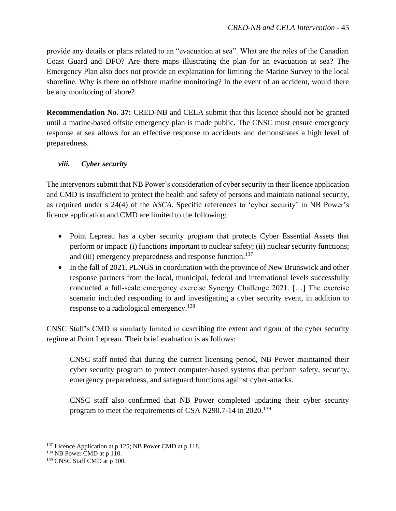provide any details or plans related to an "evacuation at sea". What are the roles of the Canadian Coast Guard and DFO? Are there maps illustrating the plan for an evacuation at sea? The Emergency Plan also does not provide an explanation for limiting the Marine Survey to the local shoreline. Why is there no offshore marine monitoring? In the event of an accident, would there be any monitoring offshore?

**Recommendation No. 37:** CRED-NB and CELA submit that this licence should not be granted until a marine-based offsite emergency plan is made public. The CNSC must ensure emergency response at sea allows for an effective response to accidents and demonstrates a high level of preparedness.

### <span id="page-46-0"></span>*viii. Cyber security*

The intervenors submit that NB Power's consideration of cyber security in their licence application and CMD is insufficient to protect the health and safety of persons and maintain national security, as required under s 24(4) of the *NSCA*. Specific references to 'cyber security' in NB Power's licence application and CMD are limited to the following:

- Point Lepreau has a cyber security program that protects Cyber Essential Assets that perform or impact: (i) functions important to nuclear safety; (ii) nuclear security functions; and (iii) emergency preparedness and response function.<sup>137</sup>
- In the fall of 2021, PLNGS in coordination with the province of New Brunswick and other response partners from the local, municipal, federal and international levels successfully conducted a full-scale emergency exercise Synergy Challenge 2021. […] The exercise scenario included responding to and investigating a cyber security event, in addition to response to a radiological emergency.<sup>138</sup>

CNSC Staff's CMD is similarly limited in describing the extent and rigour of the cyber security regime at Point Lepreau. Their brief evaluation is as follows:

CNSC staff noted that during the current licensing period, NB Power maintained their cyber security program to protect computer-based systems that perform safety, security, emergency preparedness, and safeguard functions against cyber-attacks.

CNSC staff also confirmed that NB Power completed updating their cyber security program to meet the requirements of CSA N290.7-14 in 2020.<sup>139</sup>

<sup>&</sup>lt;sup>137</sup> Licence Application at p 125; NB Power CMD at p 118.

<sup>&</sup>lt;sup>138</sup> NB Power CMD at p 110.

<sup>139</sup> CNSC Staff CMD at p 100.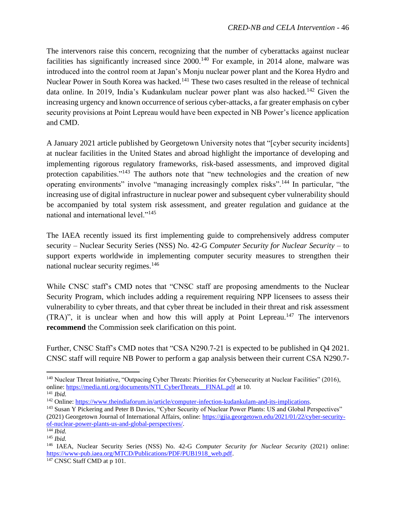The intervenors raise this concern, recognizing that the number of cyberattacks against nuclear facilities has significantly increased since  $2000$ .<sup>140</sup> For example, in 2014 alone, malware was introduced into the control room at Japan's Monju nuclear power plant and the Korea Hydro and Nuclear Power in South Korea was hacked.<sup>141</sup> These two cases resulted in the release of technical data online. In 2019, India's Kudankulam nuclear power plant was also hacked.<sup>142</sup> Given the increasing urgency and known occurrence of serious cyber-attacks, a far greater emphasis on cyber security provisions at Point Lepreau would have been expected in NB Power's licence application and CMD.

A January 2021 article published by Georgetown University notes that "[cyber security incidents] at nuclear facilities in the United States and abroad highlight the importance of developing and implementing rigorous regulatory frameworks, risk-based assessments, and improved digital protection capabilities."<sup>143</sup> The authors note that "new technologies and the creation of new operating environments" involve "managing increasingly complex risks".<sup>144</sup> In particular, "the increasing use of digital infrastructure in nuclear power and subsequent cyber vulnerability should be accompanied by total system risk assessment, and greater regulation and guidance at the national and international level."<sup>145</sup>

The IAEA recently issued its first implementing guide to comprehensively address computer security – Nuclear Security Series (NSS) No. 42-G *Computer Security for Nuclear Security* – to support experts worldwide in implementing computer security measures to strengthen their national nuclear security regimes.<sup>146</sup>

While CNSC staff's CMD notes that "CNSC staff are proposing amendments to the Nuclear Security Program, which includes adding a requirement requiring NPP licensees to assess their vulnerability to cyber threats, and that cyber threat be included in their threat and risk assessment  $(TRA)$ ", it is unclear when and how this will apply at Point Lepreau.<sup>147</sup> The intervenors **recommend** the Commission seek clarification on this point.

Further, CNSC Staff's CMD notes that "CSA N290.7-21 is expected to be published in Q4 2021. CNSC staff will require NB Power to perform a gap analysis between their current CSA N290.7-

<sup>&</sup>lt;sup>140</sup> Nuclear Threat Initiative, "Outpacing Cyber Threats: Priorities for Cybersecurity at Nuclear Facilities" (2016), online: [https://media.nti.org/documents/NTI\\_CyberThreats\\_\\_FINAL.pdf](https://media.nti.org/documents/NTI_CyberThreats__FINAL.pdf) at 10. <sup>141</sup> *Ibid.*

<sup>&</sup>lt;sup>142</sup> Online[: https://www.theindiaforum.in/article/computer-infection-kudankulam-and-its-implications.](https://www.theindiaforum.in/article/computer-infection-kudankulam-and-its-implications)

<sup>&</sup>lt;sup>143</sup> Susan Y Pickering and Peter B Davies, "Cyber Security of Nuclear Power Plants: US and Global Perspectives" (2021) Georgetown Journal of International Affairs, online: [https://gjia.georgetown.edu/2021/01/22/cyber-security](https://gjia.georgetown.edu/2021/01/22/cyber-security-of-nuclear-power-plants-us-and-global-perspectives/)[of-nuclear-power-plants-us-and-global-perspectives/.](https://gjia.georgetown.edu/2021/01/22/cyber-security-of-nuclear-power-plants-us-and-global-perspectives/)

<sup>144</sup> *Ibid.*

<sup>145</sup> *Ibid.*

<sup>146</sup> IAEA, Nuclear Security Series (NSS) No. 42-G *Computer Security for Nuclear Security* (2021) online: [https://www-pub.iaea.org/MTCD/Publications/PDF/PUB1918\\_web.pdf.](https://www-pub.iaea.org/MTCD/Publications/PDF/PUB1918_web.pdf)

 $147$  CNSC Staff CMD at p 101.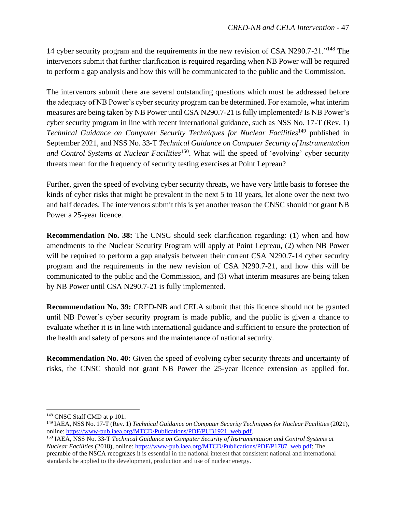14 cyber security program and the requirements in the new revision of CSA N290.7-21."<sup>148</sup> The intervenors submit that further clarification is required regarding when NB Power will be required to perform a gap analysis and how this will be communicated to the public and the Commission.

The intervenors submit there are several outstanding questions which must be addressed before the adequacy of NB Power's cyber security program can be determined. For example, what interim measures are being taken by NB Power until CSA N290.7-21 is fully implemented? Is NB Power's cyber security program in line with recent international guidance, such as NSS No. 17-T (Rev. 1) *Technical Guidance on Computer Security Techniques for Nuclear Facilities*<sup>149</sup> published in September 2021, and NSS No. 33-T *Technical Guidance on Computer Security of Instrumentation*  and Control Systems at Nuclear Facilities<sup>150</sup>. What will the speed of 'evolving' cyber security threats mean for the frequency of security testing exercises at Point Lepreau?

Further, given the speed of evolving cyber security threats, we have very little basis to foresee the kinds of cyber risks that might be prevalent in the next 5 to 10 years, let alone over the next two and half decades. The intervenors submit this is yet another reason the CNSC should not grant NB Power a 25-year licence.

**Recommendation No. 38:** The CNSC should seek clarification regarding: (1) when and how amendments to the Nuclear Security Program will apply at Point Lepreau, (2) when NB Power will be required to perform a gap analysis between their current CSA N290.7-14 cyber security program and the requirements in the new revision of CSA N290.7-21, and how this will be communicated to the public and the Commission, and (3) what interim measures are being taken by NB Power until CSA N290.7-21 is fully implemented.

**Recommendation No. 39: CRED-NB and CELA submit that this licence should not be granted** until NB Power's cyber security program is made public, and the public is given a chance to evaluate whether it is in line with international guidance and sufficient to ensure the protection of the health and safety of persons and the maintenance of national security.

**Recommendation No. 40:** Given the speed of evolving cyber security threats and uncertainty of risks, the CNSC should not grant NB Power the 25-year licence extension as applied for.

<sup>&</sup>lt;sup>148</sup> CNSC Staff CMD at p 101.

<sup>149</sup> IAEA, NSS No. 17-T (Rev. 1) *Technical Guidance on Computer Security Techniques for Nuclear Facilities* (2021), online: [https://www-pub.iaea.org/MTCD/Publications/PDF/PUB1921\\_web.pdf.](https://www-pub.iaea.org/MTCD/Publications/PDF/PUB1921_web.pdf)

<sup>150</sup> IAEA, NSS No. 33-T *Technical Guidance on Computer Security of Instrumentation and Control Systems at Nuclear Facilities* (2018), online: [https://www-pub.iaea.org/MTCD/Publications/PDF/P1787\\_web.pdf;](https://www-pub.iaea.org/MTCD/Publications/PDF/P1787_web.pdf) The preamble of the NSCA recognizes it is essential in the national interest that consistent national and international standards be applied to the development, production and use of nuclear energy.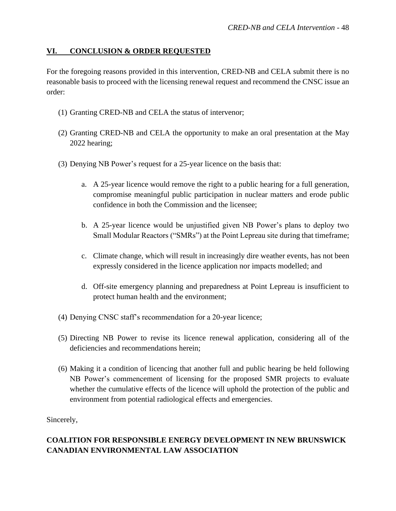#### <span id="page-49-0"></span>**VI. CONCLUSION & ORDER REQUESTED**

For the foregoing reasons provided in this intervention, CRED-NB and CELA submit there is no reasonable basis to proceed with the licensing renewal request and recommend the CNSC issue an order:

- (1) Granting CRED-NB and CELA the status of intervenor;
- (2) Granting CRED-NB and CELA the opportunity to make an oral presentation at the May 2022 hearing;
- (3) Denying NB Power's request for a 25-year licence on the basis that:
	- a. A 25-year licence would remove the right to a public hearing for a full generation, compromise meaningful public participation in nuclear matters and erode public confidence in both the Commission and the licensee;
	- b. A 25-year licence would be unjustified given NB Power's plans to deploy two Small Modular Reactors ("SMRs") at the Point Lepreau site during that timeframe;
	- c. Climate change, which will result in increasingly dire weather events, has not been expressly considered in the licence application nor impacts modelled; and
	- d. Off-site emergency planning and preparedness at Point Lepreau is insufficient to protect human health and the environment;
- (4) Denying CNSC staff's recommendation for a 20-year licence;
- (5) Directing NB Power to revise its licence renewal application, considering all of the deficiencies and recommendations herein;
- (6) Making it a condition of licencing that another full and public hearing be held following NB Power's commencement of licensing for the proposed SMR projects to evaluate whether the cumulative effects of the licence will uphold the protection of the public and environment from potential radiological effects and emergencies.

Sincerely,

# **COALITION FOR RESPONSIBLE ENERGY DEVELOPMENT IN NEW BRUNSWICK CANADIAN ENVIRONMENTAL LAW ASSOCIATION**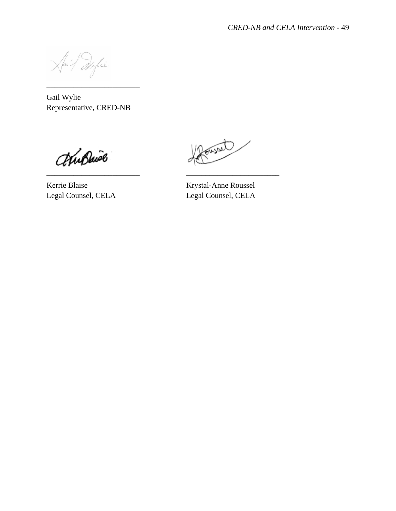fai Wylie

Gail Wylie Representative, CRED-NB

––––––––––––––––––––––––

WuBwie

foural

Kerrie Blaise Krystal-Anne Roussel Legal Counsel, CELA Legal Counsel, CELA

–––––––––––––––––––––––– ––––––––––––––––––––––––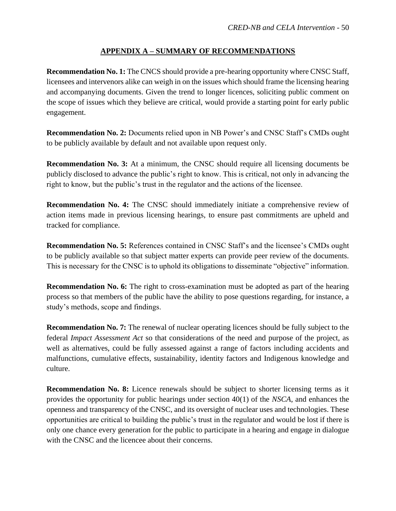### **APPENDIX A – SUMMARY OF RECOMMENDATIONS**

<span id="page-51-0"></span>**Recommendation No. 1:** The CNCS should provide a pre-hearing opportunity where CNSC Staff, licensees and intervenors alike can weigh in on the issues which should frame the licensing hearing and accompanying documents. Given the trend to longer licences, soliciting public comment on the scope of issues which they believe are critical, would provide a starting point for early public engagement.

**Recommendation No. 2:** Documents relied upon in NB Power's and CNSC Staff's CMDs ought to be publicly available by default and not available upon request only.

**Recommendation No. 3:** At a minimum, the CNSC should require all licensing documents be publicly disclosed to advance the public's right to know. This is critical, not only in advancing the right to know, but the public's trust in the regulator and the actions of the licensee.

**Recommendation No. 4:** The CNSC should immediately initiate a comprehensive review of action items made in previous licensing hearings, to ensure past commitments are upheld and tracked for compliance.

**Recommendation No. 5:** References contained in CNSC Staff's and the licensee's CMDs ought to be publicly available so that subject matter experts can provide peer review of the documents. This is necessary for the CNSC is to uphold its obligations to disseminate "objective" information.

**Recommendation No. 6:** The right to cross-examination must be adopted as part of the hearing process so that members of the public have the ability to pose questions regarding, for instance, a study's methods, scope and findings.

**Recommendation No. 7:** The renewal of nuclear operating licences should be fully subject to the federal *Impact Assessment Act* so that considerations of the need and purpose of the project, as well as alternatives, could be fully assessed against a range of factors including accidents and malfunctions, cumulative effects, sustainability, identity factors and Indigenous knowledge and culture.

**Recommendation No. 8:** Licence renewals should be subject to shorter licensing terms as it provides the opportunity for public hearings under section 40(1) of the *NSCA*, and enhances the openness and transparency of the CNSC, and its oversight of nuclear uses and technologies. These opportunities are critical to building the public's trust in the regulator and would be lost if there is only one chance every generation for the public to participate in a hearing and engage in dialogue with the CNSC and the licencee about their concerns.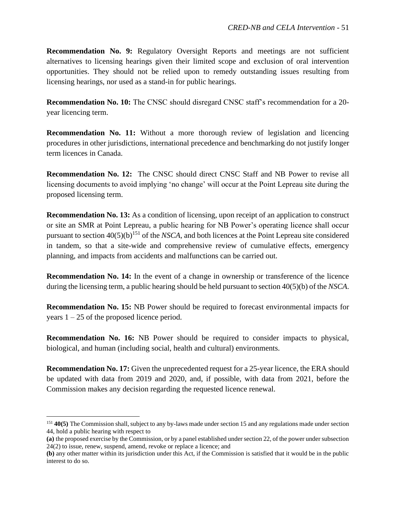**Recommendation No. 9:** Regulatory Oversight Reports and meetings are not sufficient alternatives to licensing hearings given their limited scope and exclusion of oral intervention opportunities. They should not be relied upon to remedy outstanding issues resulting from licensing hearings, nor used as a stand-in for public hearings.

**Recommendation No. 10:** The CNSC should disregard CNSC staff's recommendation for a 20 year licencing term.

**Recommendation No. 11:** Without a more thorough review of legislation and licencing procedures in other jurisdictions, international precedence and benchmarking do not justify longer term licences in Canada.

**Recommendation No. 12:** The CNSC should direct CNSC Staff and NB Power to revise all licensing documents to avoid implying 'no change' will occur at the Point Lepreau site during the proposed licensing term.

**Recommendation No. 13:** As a condition of licensing, upon receipt of an application to construct or site an SMR at Point Lepreau, a public hearing for NB Power's operating licence shall occur pursuant to section 40(5)(b)<sup>151</sup> of the *NSCA,* and both licences at the Point Lepreau site considered in tandem, so that a site-wide and comprehensive review of cumulative effects, emergency planning, and impacts from accidents and malfunctions can be carried out.

**Recommendation No. 14:** In the event of a change in ownership or transference of the licence during the licensing term, a public hearing should be held pursuant to section 40(5)(b) of the *NSCA*.

**Recommendation No. 15:** NB Power should be required to forecast environmental impacts for years  $1 - 25$  of the proposed licence period.

**Recommendation No. 16:** NB Power should be required to consider impacts to physical, biological, and human (including social, health and cultural) environments.

**Recommendation No. 17:** Given the unprecedented request for a 25-year licence, the ERA should be updated with data from 2019 and 2020, and, if possible, with data from 2021, before the Commission makes any decision regarding the requested licence renewal.

<sup>151</sup> **40(5)** The Commission shall, subject to any by-laws made under section 15 and any regulations made under section 44, hold a public hearing with respect to

**<sup>(</sup>a)** the proposed exercise by the Commission, or by a panel established under section 22, of the power under subsection 24(2) to issue, renew, suspend, amend, revoke or replace a licence; and

**<sup>(</sup>b)** any other matter within its jurisdiction under this Act, if the Commission is satisfied that it would be in the public interest to do so.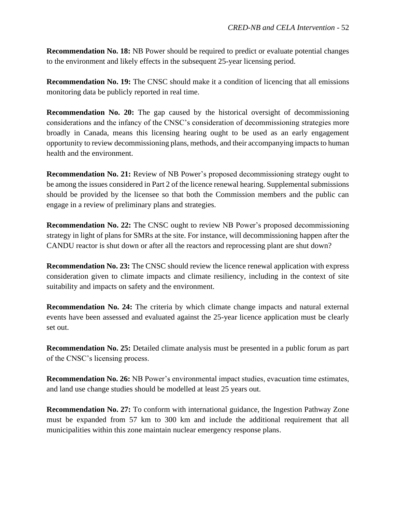**Recommendation No. 18:** NB Power should be required to predict or evaluate potential changes to the environment and likely effects in the subsequent 25-year licensing period.

**Recommendation No. 19:** The CNSC should make it a condition of licencing that all emissions monitoring data be publicly reported in real time.

**Recommendation No. 20:** The gap caused by the historical oversight of decommissioning considerations and the infancy of the CNSC's consideration of decommissioning strategies more broadly in Canada, means this licensing hearing ought to be used as an early engagement opportunity to review decommissioning plans, methods, and their accompanying impacts to human health and the environment.

**Recommendation No. 21:** Review of NB Power's proposed decommissioning strategy ought to be among the issues considered in Part 2 of the licence renewal hearing. Supplemental submissions should be provided by the licensee so that both the Commission members and the public can engage in a review of preliminary plans and strategies.

**Recommendation No. 22:** The CNSC ought to review NB Power's proposed decommissioning strategy in light of plans for SMRs at the site. For instance, will decommissioning happen after the CANDU reactor is shut down or after all the reactors and reprocessing plant are shut down?

**Recommendation No. 23:** The CNSC should review the licence renewal application with express consideration given to climate impacts and climate resiliency, including in the context of site suitability and impacts on safety and the environment.

**Recommendation No. 24:** The criteria by which climate change impacts and natural external events have been assessed and evaluated against the 25-year licence application must be clearly set out.

**Recommendation No. 25:** Detailed climate analysis must be presented in a public forum as part of the CNSC's licensing process.

**Recommendation No. 26:** NB Power's environmental impact studies, evacuation time estimates, and land use change studies should be modelled at least 25 years out.

**Recommendation No. 27:** To conform with international guidance, the Ingestion Pathway Zone must be expanded from 57 km to 300 km and include the additional requirement that all municipalities within this zone maintain nuclear emergency response plans.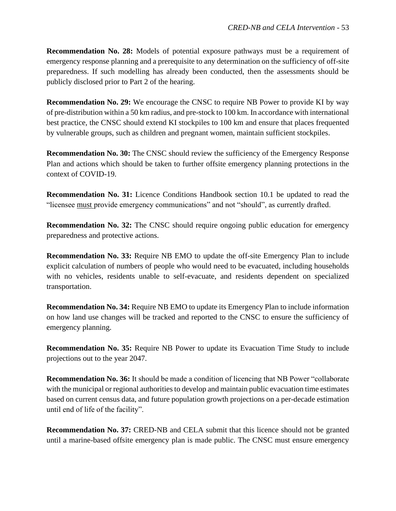**Recommendation No. 28:** Models of potential exposure pathways must be a requirement of emergency response planning and a prerequisite to any determination on the sufficiency of off-site preparedness. If such modelling has already been conducted, then the assessments should be publicly disclosed prior to Part 2 of the hearing.

**Recommendation No. 29:** We encourage the CNSC to require NB Power to provide KI by way of pre-distribution within a 50 km radius, and pre-stock to 100 km. In accordance with international best practice, the CNSC should extend KI stockpiles to 100 km and ensure that places frequented by vulnerable groups, such as children and pregnant women, maintain sufficient stockpiles.

**Recommendation No. 30:** The CNSC should review the sufficiency of the Emergency Response Plan and actions which should be taken to further offsite emergency planning protections in the context of COVID-19.

**Recommendation No. 31:** Licence Conditions Handbook section 10.1 be updated to read the "licensee must provide emergency communications" and not "should", as currently drafted.

**Recommendation No. 32:** The CNSC should require ongoing public education for emergency preparedness and protective actions.

**Recommendation No. 33:** Require NB EMO to update the off-site Emergency Plan to include explicit calculation of numbers of people who would need to be evacuated, including households with no vehicles, residents unable to self-evacuate, and residents dependent on specialized transportation.

**Recommendation No. 34:** Require NB EMO to update its Emergency Plan to include information on how land use changes will be tracked and reported to the CNSC to ensure the sufficiency of emergency planning.

**Recommendation No. 35:** Require NB Power to update its Evacuation Time Study to include projections out to the year 2047.

**Recommendation No. 36:** It should be made a condition of licencing that NB Power "collaborate with the municipal or regional authorities to develop and maintain public evacuation time estimates based on current census data, and future population growth projections on a per-decade estimation until end of life of the facility".

**Recommendation No. 37:** CRED-NB and CELA submit that this licence should not be granted until a marine-based offsite emergency plan is made public. The CNSC must ensure emergency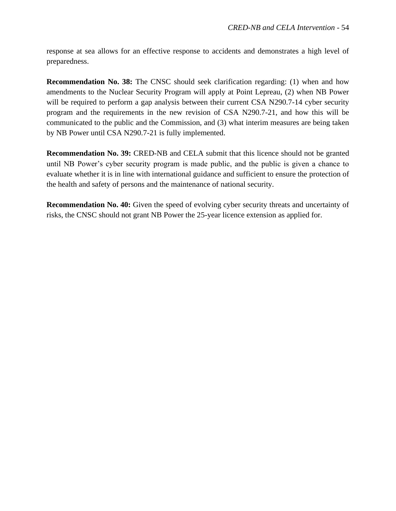response at sea allows for an effective response to accidents and demonstrates a high level of preparedness.

**Recommendation No. 38:** The CNSC should seek clarification regarding: (1) when and how amendments to the Nuclear Security Program will apply at Point Lepreau, (2) when NB Power will be required to perform a gap analysis between their current CSA N290.7-14 cyber security program and the requirements in the new revision of CSA N290.7-21, and how this will be communicated to the public and the Commission, and (3) what interim measures are being taken by NB Power until CSA N290.7-21 is fully implemented.

**Recommendation No. 39: CRED-NB and CELA submit that this licence should not be granted** until NB Power's cyber security program is made public, and the public is given a chance to evaluate whether it is in line with international guidance and sufficient to ensure the protection of the health and safety of persons and the maintenance of national security.

**Recommendation No. 40:** Given the speed of evolving cyber security threats and uncertainty of risks, the CNSC should not grant NB Power the 25-year licence extension as applied for.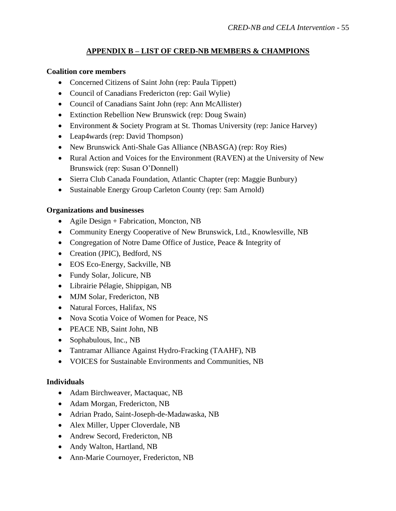# **APPENDIX B – LIST OF CRED-NB MEMBERS & CHAMPIONS**

### <span id="page-56-0"></span>**Coalition core members**

- Concerned Citizens of Saint John (rep: Paula Tippett)
- Council of Canadians Fredericton (rep: Gail Wylie)
- Council of Canadians Saint John (rep: Ann McAllister)
- Extinction Rebellion New Brunswick (rep: Doug Swain)
- Environment & Society Program at St. Thomas University (rep: Janice Harvey)
- Leap4wards (rep: David Thompson)
- New Brunswick Anti-Shale Gas Alliance (NBASGA) (rep: Roy Ries)
- Rural Action and Voices for the Environment (RAVEN) at the University of New Brunswick (rep: Susan O'Donnell)
- Sierra Club Canada Foundation, Atlantic Chapter (rep: Maggie Bunbury)
- Sustainable Energy Group Carleton County (rep: Sam Arnold)

### **Organizations and businesses**

- Agile Design + Fabrication, Moncton, NB
- Community Energy Cooperative of New Brunswick, Ltd., Knowlesville, NB
- Congregation of Notre Dame Office of Justice, Peace & Integrity of
- Creation (JPIC), Bedford, NS
- EOS Eco-Energy, Sackville, NB
- Fundy Solar, Jolicure, NB
- Librairie Pélagie, Shippigan, NB
- MJM Solar, Fredericton, NB
- Natural Forces, Halifax, NS
- Nova Scotia Voice of Women for Peace, NS
- PEACE NB, Saint John, NB
- Sophabulous, Inc., NB
- Tantramar Alliance Against Hydro-Fracking (TAAHF), NB
- VOICES for Sustainable Environments and Communities, NB

### **Individuals**

- Adam Birchweaver, Mactaquac, NB
- Adam Morgan, Fredericton, NB
- Adrian Prado, Saint-Joseph-de-Madawaska, NB
- Alex Miller, Upper Cloverdale, NB
- Andrew Secord, Fredericton, NB
- Andy Walton, Hartland, NB
- Ann-Marie Cournoyer, Fredericton, NB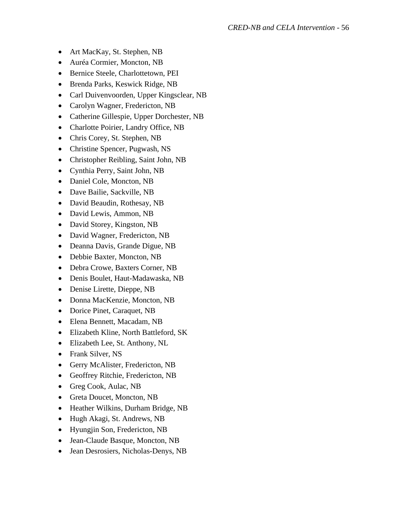- Art MacKay, St. Stephen, NB
- Auréa Cormier, Moncton, NB
- Bernice Steele, Charlottetown, PEI
- Brenda Parks, Keswick Ridge, NB
- Carl Duivenvoorden, Upper Kingsclear, NB
- Carolyn Wagner, Fredericton, NB
- Catherine Gillespie, Upper Dorchester, NB
- Charlotte Poirier, Landry Office, NB
- Chris Corey, St. Stephen, NB
- Christine Spencer, Pugwash, NS
- Christopher Reibling, Saint John, NB
- Cynthia Perry, Saint John, NB
- Daniel Cole, Moncton, NB
- Dave Bailie, Sackville, NB
- David Beaudin, Rothesay, NB
- David Lewis, Ammon, NB
- David Storey, Kingston, NB
- David Wagner, Fredericton, NB
- Deanna Davis, Grande Digue, NB
- Debbie Baxter, Moncton, NB
- Debra Crowe, Baxters Corner, NB
- Denis Boulet, Haut-Madawaska, NB
- Denise Lirette, Dieppe, NB
- Donna MacKenzie, Moncton, NB
- Dorice Pinet, Caraquet, NB
- Elena Bennett, Macadam, NB
- Elizabeth Kline, North Battleford, SK
- Elizabeth Lee, St. Anthony, NL
- Frank Silver, NS
- Gerry McAlister, Fredericton, NB
- Geoffrey Ritchie, Fredericton, NB
- Greg Cook, Aulac, NB
- Greta Doucet, Moncton, NB
- Heather Wilkins, Durham Bridge, NB
- Hugh Akagi, St. Andrews, NB
- Hyungjin Son, Fredericton, NB
- Jean-Claude Basque, Moncton, NB
- Jean Desrosiers, Nicholas-Denys, NB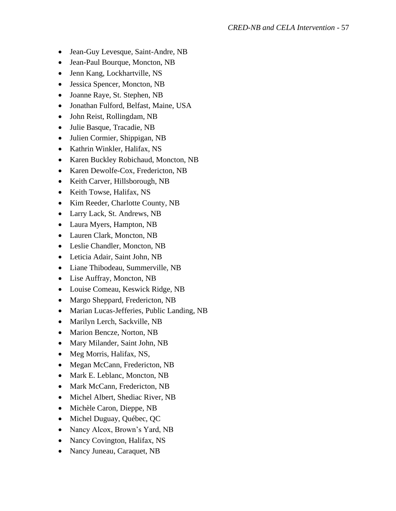- Jean-Guy Levesque, Saint-Andre, NB
- Jean-Paul Bourque, Moncton, NB
- Jenn Kang, Lockhartville, NS
- Jessica Spencer, Moncton, NB
- Joanne Raye, St. Stephen, NB
- Jonathan Fulford, Belfast, Maine, USA
- John Reist, Rollingdam, NB
- Julie Basque, Tracadie, NB
- Julien Cormier, Shippigan, NB
- Kathrin Winkler, Halifax, NS
- Karen Buckley Robichaud, Moncton, NB
- Karen Dewolfe-Cox, Fredericton, NB
- Keith Carver, Hillsborough, NB
- Keith Towse, Halifax, NS
- Kim Reeder, Charlotte County, NB
- Larry Lack, St. Andrews, NB
- Laura Myers, Hampton, NB
- Lauren Clark, Moncton, NB
- Leslie Chandler, Moncton, NB
- Leticia Adair, Saint John, NB
- Liane Thibodeau, Summerville, NB
- Lise Auffray, Moncton, NB
- Louise Comeau, Keswick Ridge, NB
- Margo Sheppard, Fredericton, NB
- Marian Lucas-Jefferies, Public Landing, NB
- Marilyn Lerch, Sackville, NB
- Marion Bencze, Norton, NB
- Mary Milander, Saint John, NB
- Meg Morris, Halifax, NS,
- Megan McCann, Fredericton, NB
- Mark E. Leblanc, Moncton, NB
- Mark McCann, Fredericton, NB
- Michel Albert, Shediac River, NB
- Michèle Caron, Dieppe, NB
- Michel Duguay, Québec, QC
- Nancy Alcox, Brown's Yard, NB
- Nancy Covington, Halifax, NS
- Nancy Juneau, Caraquet, NB